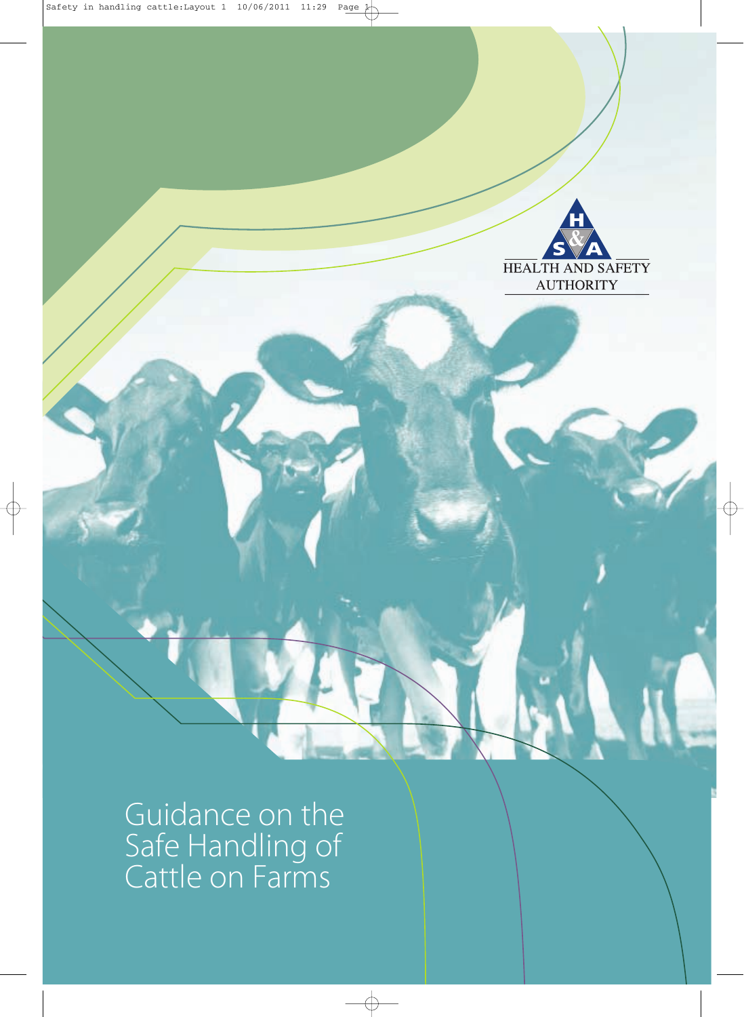

Guidance on the Safe Handling of Cattle on Farms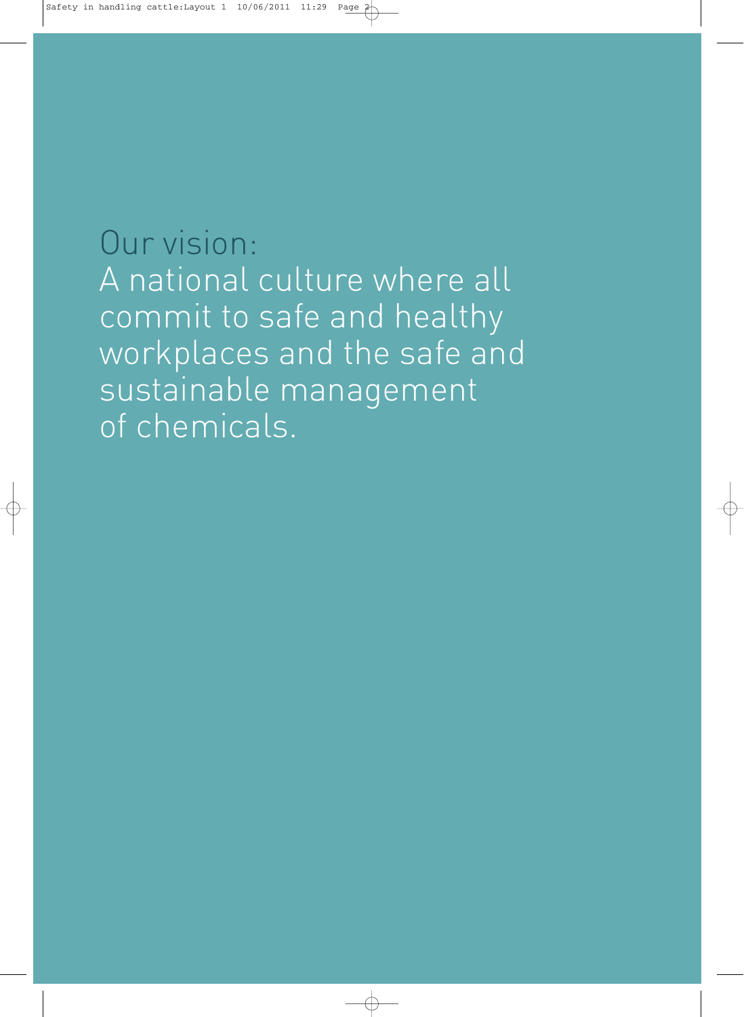Our vision: A national culture where all commit to safe and healthy workplaces and the safe and sustainable management of chemicals.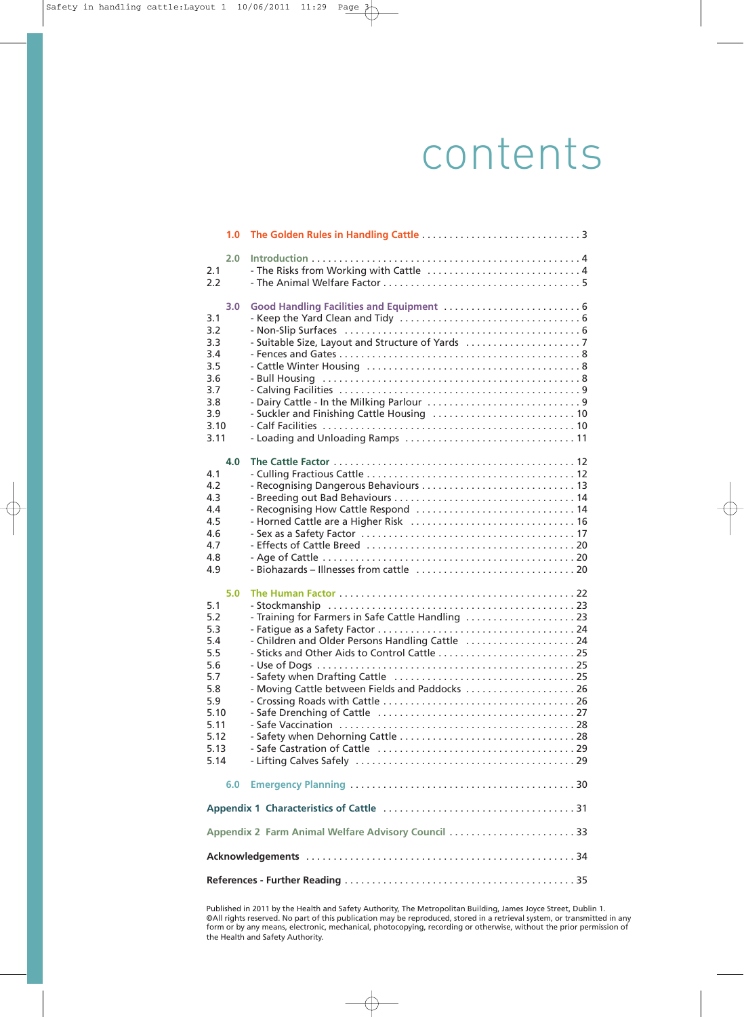# contents

| 1.0                                                                                                        |                                                                                                                                                       |  |  |
|------------------------------------------------------------------------------------------------------------|-------------------------------------------------------------------------------------------------------------------------------------------------------|--|--|
| 2.0<br>2.1<br>2.2                                                                                          |                                                                                                                                                       |  |  |
| 3.0<br>3.1<br>3.2<br>3.3<br>3.4<br>3.5<br>3.6<br>3.7<br>3.8<br>3.9<br>3.10<br>3.11                         | - Suitable Size, Layout and Structure of Yards                                                                                                        |  |  |
| 4.0<br>4.1<br>4.2<br>4.3<br>4.4<br>4.5<br>4.6<br>4.7<br>4.8<br>4.9                                         | - Recognising How Cattle Respond  14<br>- Horned Cattle are a Higher Risk  16                                                                         |  |  |
| 5.0<br>5.1<br>5.2<br>5.3<br>5.4<br>5.5<br>5.6<br>5.7<br>5.8<br>5.9<br>5.10<br>5.11<br>5.12<br>5.13<br>5.14 | - Training for Farmers in Safe Cattle Handling<br>- Children and Older Persons Handling Cattle  24<br>- Moving Cattle between Fields and Paddocks  26 |  |  |
| 6.0                                                                                                        |                                                                                                                                                       |  |  |
|                                                                                                            |                                                                                                                                                       |  |  |
| Appendix 2 Farm Animal Welfare Advisory Council 33                                                         |                                                                                                                                                       |  |  |
|                                                                                                            |                                                                                                                                                       |  |  |
|                                                                                                            |                                                                                                                                                       |  |  |

Published in 2011 by the Health and Safety Authority, The Metropolitan Building, James Joyce Street, Dublin 1. ©All rights reserved. No part of this publication may be reproduced, stored in a retrieval system, or transmitted in any form or by any means, electronic, mechanical, photocopying, recording or otherwise, without the prior permission of the Health and Safety Authority.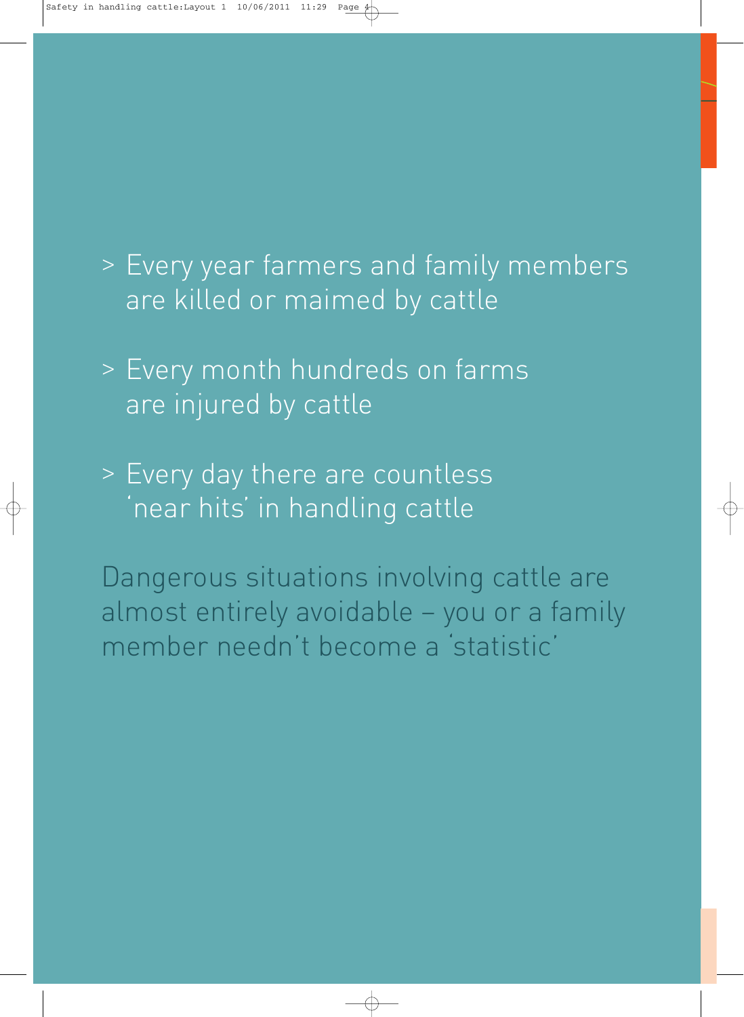# > Every year farmers and family members are killed or maimed by cattle

- > Every month hundreds on farms are injured by cattle
- > Every day there are countless 'near hits' in handling cattle

Dangerous situations involving cattle are almost entirely avoidable – you or a family member needn't become a 'statistic'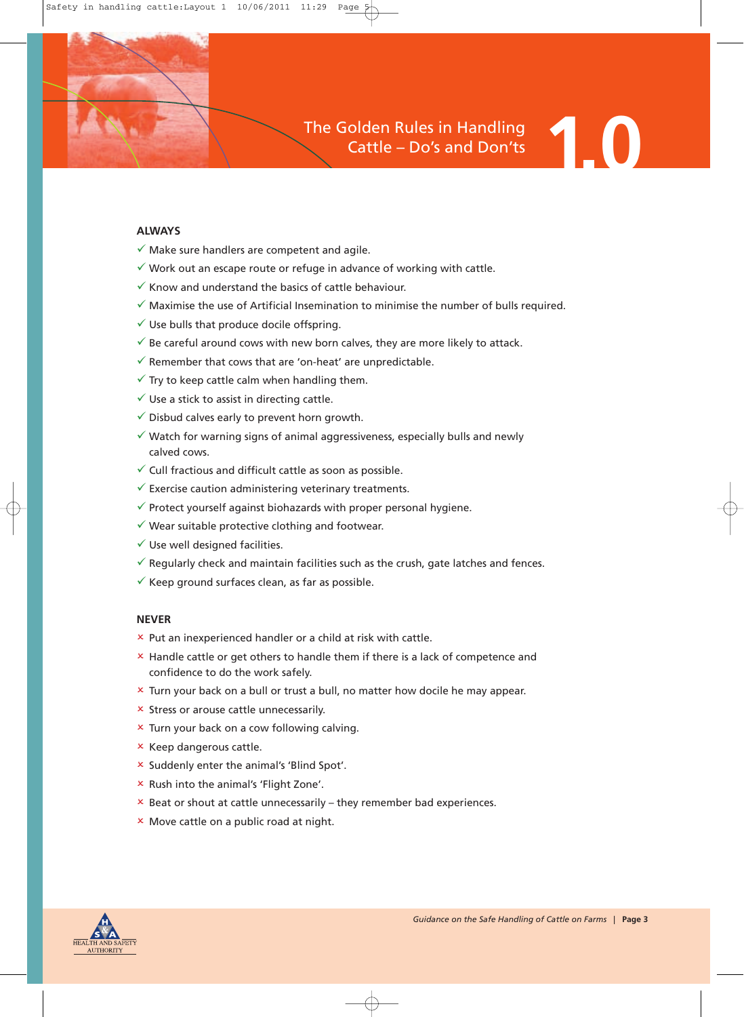

## **ALWAYS**

- $\checkmark$  Make sure handlers are competent and agile.
- $\checkmark$  Work out an escape route or refuge in advance of working with cattle.
- $\checkmark$  Know and understand the basics of cattle behaviour.
- $\checkmark$  Maximise the use of Artificial Insemination to minimise the number of bulls required.
- $\checkmark$  Use bulls that produce docile offspring.
- $\checkmark$  Be careful around cows with new born calves, they are more likely to attack.
- $\checkmark$  Remember that cows that are 'on-heat' are unpredictable.
- $\checkmark$  Try to keep cattle calm when handling them.
- $\checkmark$  Use a stick to assist in directing cattle.
- $\checkmark$  Disbud calves early to prevent horn growth.
- $\checkmark$  Watch for warning signs of animal aggressiveness, especially bulls and newly calved cows.
- $\checkmark$  Cull fractious and difficult cattle as soon as possible.
- $\checkmark$  Exercise caution administering veterinary treatments.
- $\checkmark$  Protect yourself against biohazards with proper personal hygiene.
- $\checkmark$  Wear suitable protective clothing and footwear.
- $\checkmark$  Use well designed facilities.
- $\checkmark$  Regularly check and maintain facilities such as the crush, gate latches and fences.
- $\checkmark$  Keep ground surfaces clean, as far as possible.

## **NEVER**

- $\times$  Put an inexperienced handler or a child at risk with cattle.
- $\times$  Handle cattle or get others to handle them if there is a lack of competence and confidence to do the work safely.
- Turn your back on a bull or trust a bull, no matter how docile he may appear.
- $\times$  Stress or arouse cattle unnecessarily.
- **x** Turn your back on a cow following calving.
- **x** Keep dangerous cattle.
- $\times$  Suddenly enter the animal's 'Blind Spot'.
- $x$  Rush into the animal's 'Flight Zone'.
- $\times$  Beat or shout at cattle unnecessarily they remember bad experiences.
- Move cattle on a public road at night.

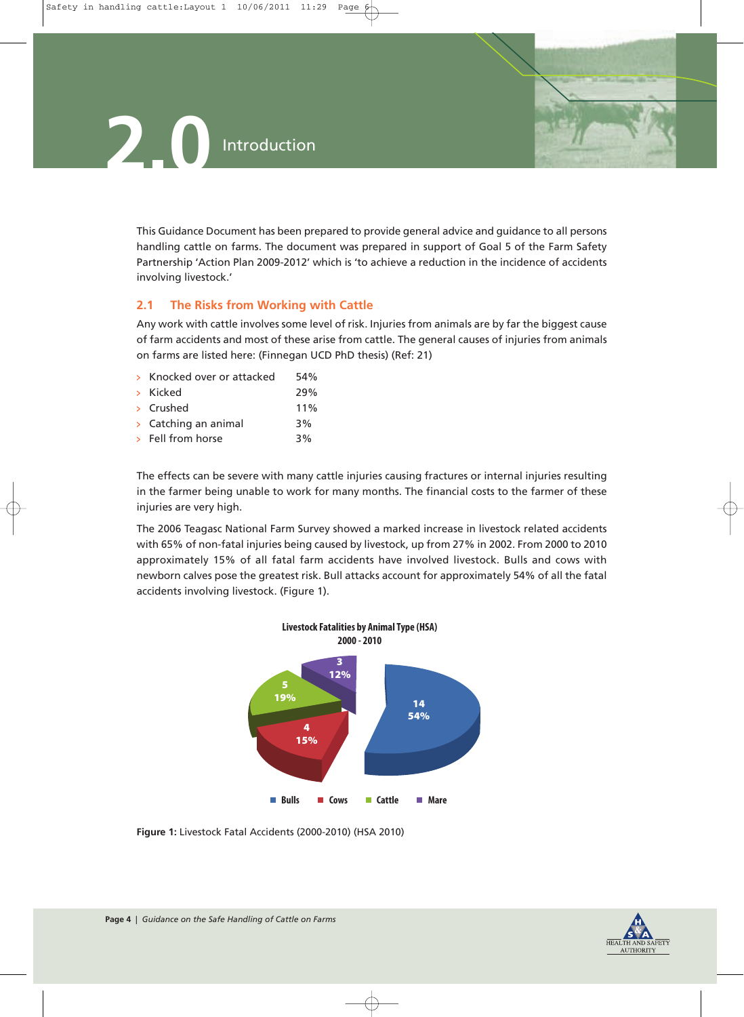



This Guidance Document has been prepared to provide general advice and guidance to all persons handling cattle on farms. The document was prepared in support of Goal 5 of the Farm Safety Partnership 'Action Plan 2009-2012' which is 'to achieve a reduction in the incidence of accidents involving livestock.'

# **2.1 The Risks from Working with Cattle**

Any work with cattle involves some level of risk. Injuries from animals are by far the biggest cause of farm accidents and most of these arise from cattle. The general causes of injuries from animals on farms are listed here: (Finnegan UCD PhD thesis) (Ref: 21)

| > Knocked over or attacked | 54%    |
|----------------------------|--------|
| > Kicked                   | 29%    |
| > Crushed                  | $11\%$ |

- <sup>&</sup>gt; Catching an animal 3%
- <sup>&</sup>gt; Fell from horse 3%

The effects can be severe with many cattle injuries causing fractures or internal injuries resulting in the farmer being unable to work for many months. The financial costs to the farmer of these injuries are very high.

The 2006 Teagasc National Farm Survey showed a marked increase in livestock related accidents with 65% of non-fatal injuries being caused by livestock, up from 27% in 2002. From 2000 to 2010 approximately 15% of all fatal farm accidents have involved livestock. Bulls and cows with newborn calves pose the greatest risk. Bull attacks account for approximately 54% of all the fatal accidents involving livestock. (Figure 1).



**Figure 1:** Livestock Fatal Accidents (2000-2010) (HSA 2010)

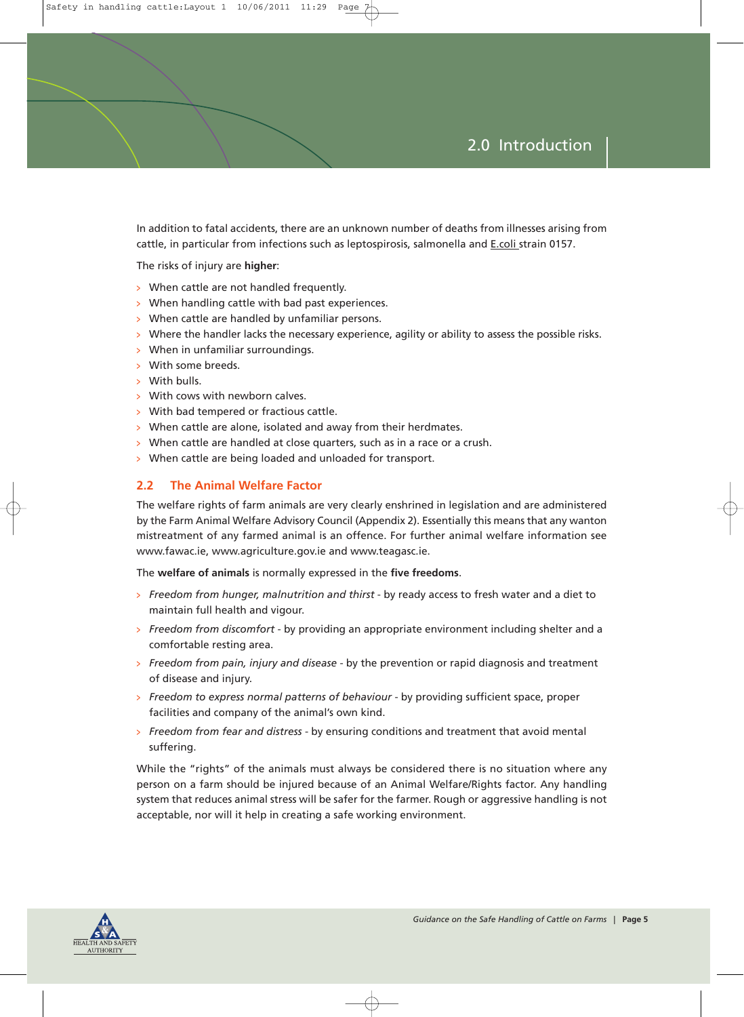In addition to fatal accidents, there are an unknown number of deaths from illnesses arising from cattle, in particular from infections such as leptospirosis, salmonella and E.coli strain 0157.

The risks of injury are **higher**:

- <sup>&</sup>gt; When cattle are not handled frequently.
- > When handling cattle with bad past experiences.
- > When cattle are handled by unfamiliar persons.
- > Where the handler lacks the necessary experience, agility or ability to assess the possible risks.
- <sup>&</sup>gt; When in unfamiliar surroundings.
- <sup>&</sup>gt; With some breeds.
- <sup>&</sup>gt; With bulls.
- <sup>&</sup>gt; With cows with newborn calves.
- <sup>&</sup>gt; With bad tempered or fractious cattle.
- > When cattle are alone, isolated and away from their herdmates.
- > When cattle are handled at close quarters, such as in a race or a crush.
- > When cattle are being loaded and unloaded for transport.

## **2.2 The Animal Welfare Factor**

The welfare rights of farm animals are very clearly enshrined in legislation and are administered by the Farm Animal Welfare Advisory Council (Appendix 2). Essentially this means that any wanton mistreatment of any farmed animal is an offence. For further animal welfare information see www.fawac.ie, www.agriculture.gov.ie and www.teagasc.ie.

The **welfare of animals** is normally expressed in the **five freedoms**.

- <sup>&</sup>gt; *Freedom from hunger, malnutrition and thirst* by ready access to fresh water and a diet to maintain full health and vigour.
- <sup>&</sup>gt; *Freedom from discomfort* by providing an appropriate environment including shelter and a comfortable resting area.
- <sup>&</sup>gt; *Freedom from pain, injury and disease* by the prevention or rapid diagnosis and treatment of disease and injury.
- <sup>&</sup>gt; *Freedom to express normal patterns of behaviour* by providing sufficient space, proper facilities and company of the animal's own kind.
- <sup>&</sup>gt; *Freedom from fear and distress* by ensuring conditions and treatment that avoid mental suffering.

While the "rights" of the animals must always be considered there is no situation where any person on a farm should be injured because of an Animal Welfare/Rights factor. Any handling system that reduces animal stress will be safer for the farmer. Rough or aggressive handling is not acceptable, nor will it help in creating a safe working environment.

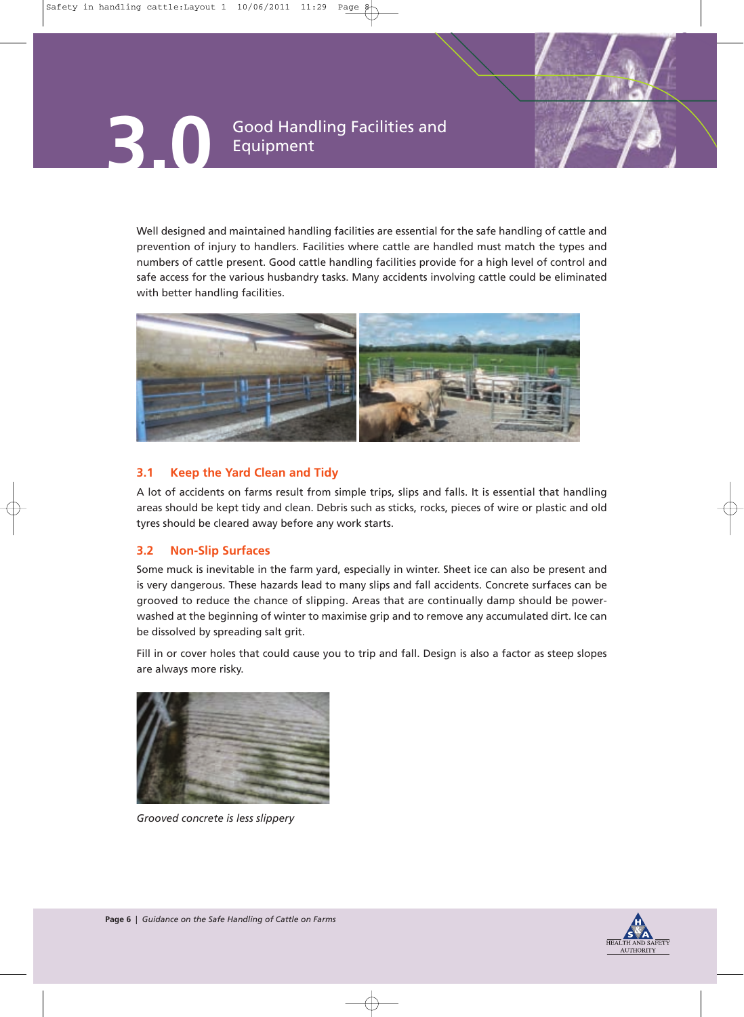Good Handling Facilities and Equipment

Well designed and maintained handling facilities are essential for the safe handling of cattle and prevention of injury to handlers. Facilities where cattle are handled must match the types and numbers of cattle present. Good cattle handling facilities provide for a high level of control and safe access for the various husbandry tasks. Many accidents involving cattle could be eliminated with better handling facilities.



# **3.1 Keep the Yard Clean and Tidy**

A lot of accidents on farms result from simple trips, slips and falls. It is essential that handling areas should be kept tidy and clean. Debris such as sticks, rocks, pieces of wire or plastic and old tyres should be cleared away before any work starts.

# **3.2 Non-Slip Surfaces**

**3.0**

Some muck is inevitable in the farm yard, especially in winter. Sheet ice can also be present and is very dangerous. These hazards lead to many slips and fall accidents. Concrete surfaces can be grooved to reduce the chance of slipping. Areas that are continually damp should be powerwashed at the beginning of winter to maximise grip and to remove any accumulated dirt. Ice can be dissolved by spreading salt grit.

Fill in or cover holes that could cause you to trip and fall. Design is also a factor as steep slopes are always more risky.



*Grooved concrete is less slippery*

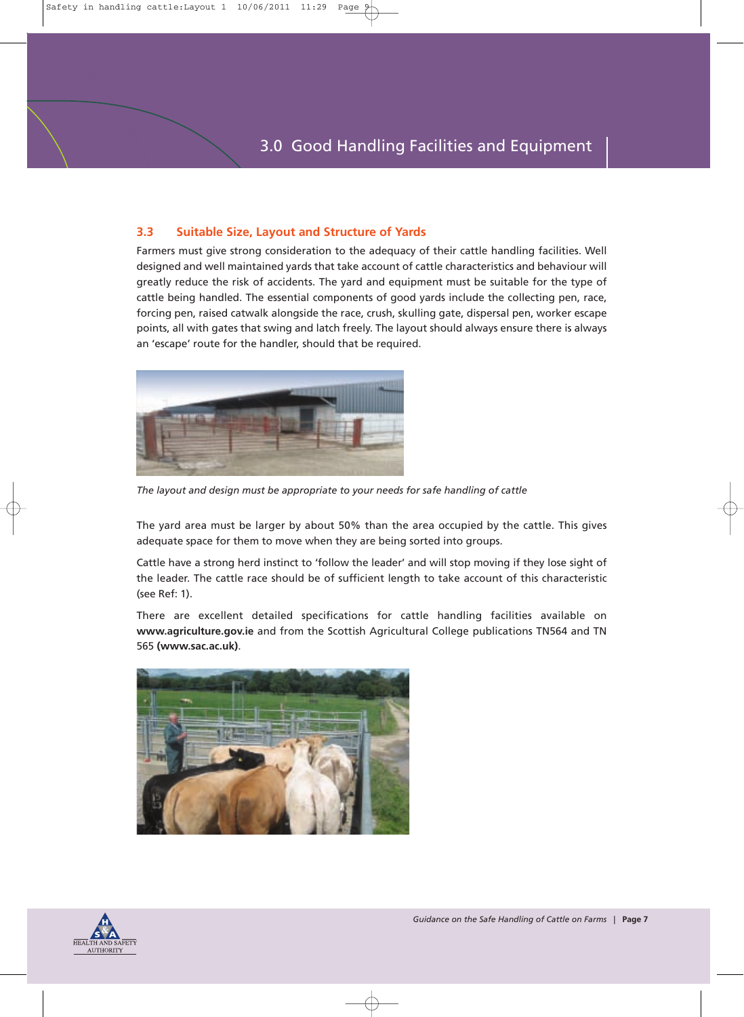# **3.3 Suitable Size, Layout and Structure of Yards**

Farmers must give strong consideration to the adequacy of their cattle handling facilities. Well designed and well maintained yards that take account of cattle characteristics and behaviour will greatly reduce the risk of accidents. The yard and equipment must be suitable for the type of cattle being handled. The essential components of good yards include the collecting pen, race, forcing pen, raised catwalk alongside the race, crush, skulling gate, dispersal pen, worker escape points, all with gates that swing and latch freely. The layout should always ensure there is always an 'escape' route for the handler, should that be required.



*The layout and design must be appropriate to your needs for safe handling of cattle*

The yard area must be larger by about 50% than the area occupied by the cattle. This gives adequate space for them to move when they are being sorted into groups.

Cattle have a strong herd instinct to 'follow the leader' and will stop moving if they lose sight of the leader. The cattle race should be of sufficient length to take account of this characteristic (see Ref: 1).

There are excellent detailed specifications for cattle handling facilities available on **www.agriculture.gov.ie** and from the Scottish Agricultural College publications TN564 and TN 565 **(www.sac.ac.uk)**.



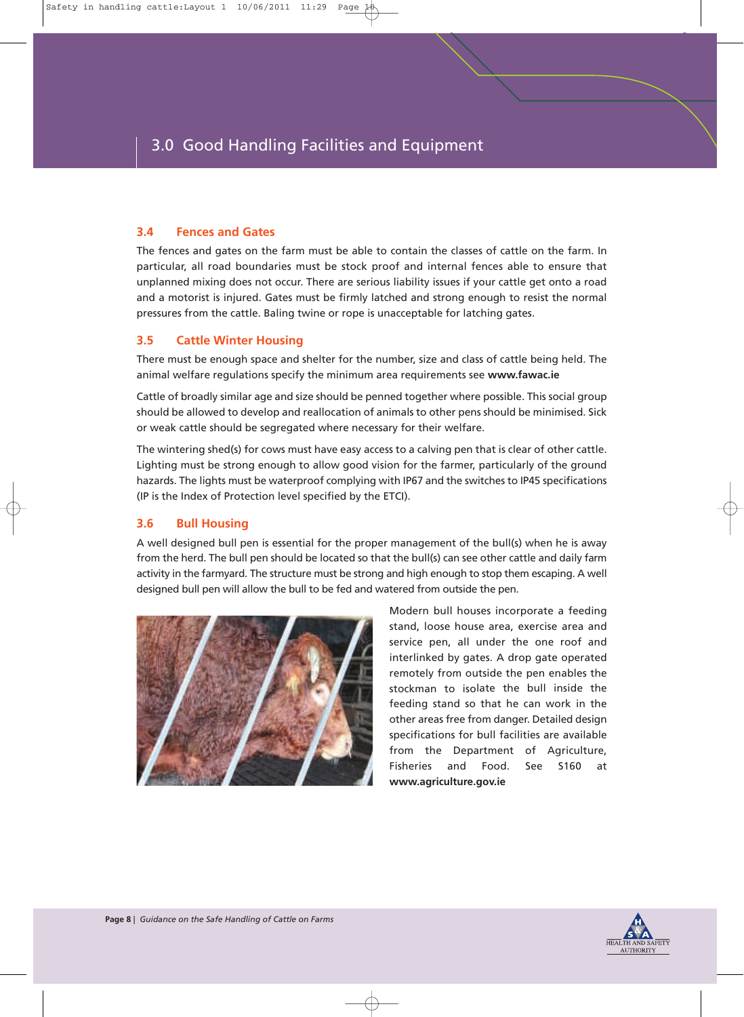# 3.0 Good Handling Facilities and Equipment

## **3.4 Fences and Gates**

The fences and gates on the farm must be able to contain the classes of cattle on the farm. In particular, all road boundaries must be stock proof and internal fences able to ensure that unplanned mixing does not occur. There are serious liability issues if your cattle get onto a road and a motorist is injured. Gates must be firmly latched and strong enough to resist the normal pressures from the cattle. Baling twine or rope is unacceptable for latching gates.

# **3.5 Cattle Winter Housing**

There must be enough space and shelter for the number, size and class of cattle being held. The animal welfare regulations specify the minimum area requirements see **www.fawac.ie**

Cattle of broadly similar age and size should be penned together where possible. This social group should be allowed to develop and reallocation of animals to other pens should be minimised. Sick or weak cattle should be segregated where necessary for their welfare.

The wintering shed(s) for cows must have easy access to a calving pen that is clear of other cattle. Lighting must be strong enough to allow good vision for the farmer, particularly of the ground hazards. The lights must be waterproof complying with IP67 and the switches to IP45 specifications (IP is the Index of Protection level specified by the ETCI).

## **3.6 Bull Housing**

A well designed bull pen is essential for the proper management of the bull(s) when he is away from the herd. The bull pen should be located so that the bull(s) can see other cattle and daily farm activity in the farmyard. The structure must be strong and high enough to stop them escaping. A well designed bull pen will allow the bull to be fed and watered from outside the pen.



Modern bull houses incorporate a feeding stand, loose house area, exercise area and service pen, all under the one roof and interlinked by gates. A drop gate operated remotely from outside the pen enables the stockman to isolate the bull inside the feeding stand so that he can work in the other areas free from danger. Detailed design specifications for bull facilities are available from the Department of Agriculture, Fisheries and Food. See S160 at **www.agriculture.gov.ie**

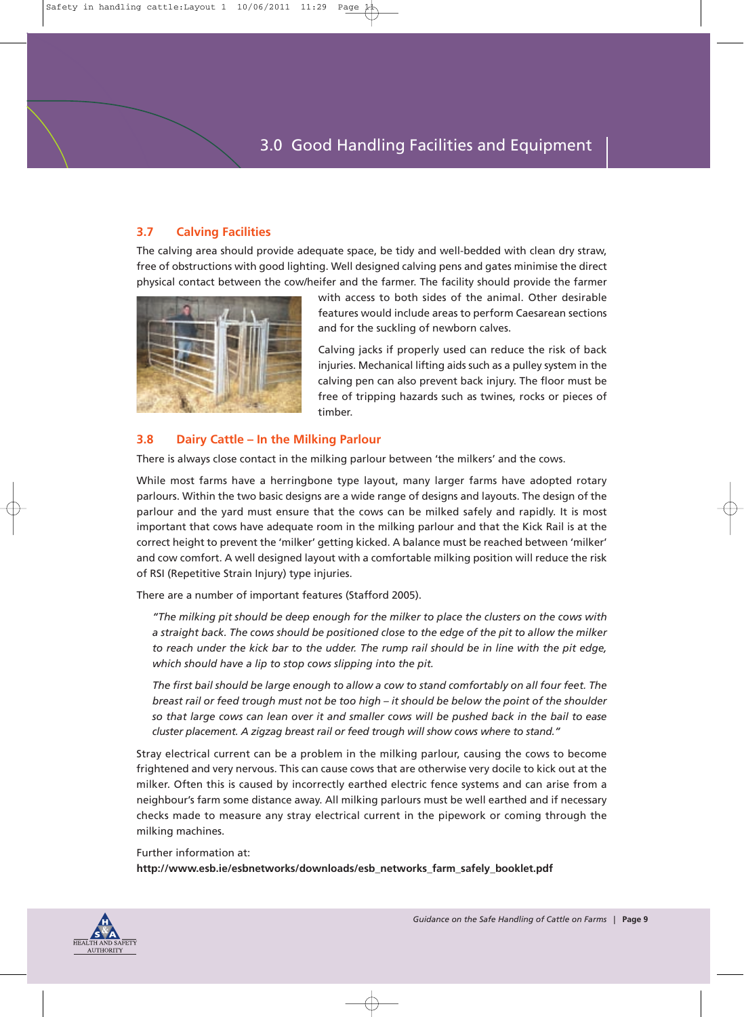# **3.7 Calving Facilities**

The calving area should provide adequate space, be tidy and well-bedded with clean dry straw, free of obstructions with good lighting. Well designed calving pens and gates minimise the direct physical contact between the cow/heifer and the farmer. The facility should provide the farmer



with access to both sides of the animal. Other desirable features would include areas to perform Caesarean sections and for the suckling of newborn calves.

Calving jacks if properly used can reduce the risk of back injuries. Mechanical lifting aids such as a pulley system in the calving pen can also prevent back injury. The floor must be free of tripping hazards such as twines, rocks or pieces of timber.

# **3.8 Dairy Cattle – In the Milking Parlour**

There is always close contact in the milking parlour between 'the milkers' and the cows.

While most farms have a herringbone type layout, many larger farms have adopted rotary parlours. Within the two basic designs are a wide range of designs and layouts. The design of the parlour and the yard must ensure that the cows can be milked safely and rapidly. It is most important that cows have adequate room in the milking parlour and that the Kick Rail is at the correct height to prevent the 'milker' getting kicked. A balance must be reached between 'milker' and cow comfort. A well designed layout with a comfortable milking position will reduce the risk of RSI (Repetitive Strain Injury) type injuries.

There are a number of important features (Stafford 2005).

*"The milking pit should be deep enough for the milker to place the clusters on the cows with a straight back. The cows should be positioned close to the edge of the pit to allow the milker to reach under the kick bar to the udder. The rump rail should be in line with the pit edge, which should have a lip to stop cows slipping into the pit.*

*The first bail should be large enough to allow a cow to stand comfortably on all four feet. The breast rail or feed trough must not be too high – it should be below the point of the shoulder so that large cows can lean over it and smaller cows will be pushed back in the bail to ease cluster placement. A zigzag breast rail or feed trough will show cows where to stand."*

Stray electrical current can be a problem in the milking parlour, causing the cows to become frightened and very nervous. This can cause cows that are otherwise very docile to kick out at the milker. Often this is caused by incorrectly earthed electric fence systems and can arise from a neighbour's farm some distance away. All milking parlours must be well earthed and if necessary checks made to measure any stray electrical current in the pipework or coming through the milking machines.

Further information at: **http://www.esb.ie/esbnetworks/downloads/esb\_networks\_farm\_safely\_booklet.pdf**

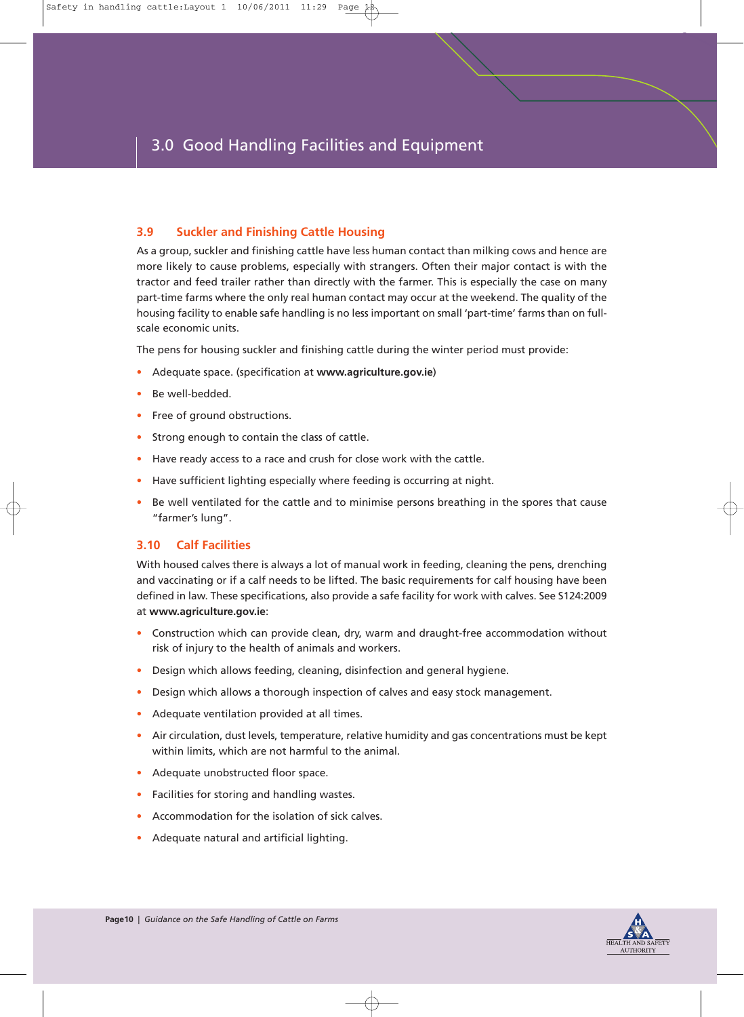# 3.0 Good Handling Facilities and Equipment

# **3.9 Suckler and Finishing Cattle Housing**

As a group, suckler and finishing cattle have less human contact than milking cows and hence are more likely to cause problems, especially with strangers. Often their major contact is with the tractor and feed trailer rather than directly with the farmer. This is especially the case on many part-time farms where the only real human contact may occur at the weekend. The quality of the housing facility to enable safe handling is no less important on small 'part-time' farms than on fullscale economic units.

The pens for housing suckler and finishing cattle during the winter period must provide:

- Adequate space. (specification at **www.agriculture.gov.ie**)
- Be well-bedded.
- Free of ground obstructions.
- Strong enough to contain the class of cattle.
- Have ready access to a race and crush for close work with the cattle.
- Have sufficient lighting especially where feeding is occurring at night.
- Be well ventilated for the cattle and to minimise persons breathing in the spores that cause "farmer's lung".

## **3.10 Calf Facilities**

With housed calves there is always a lot of manual work in feeding, cleaning the pens, drenching and vaccinating or if a calf needs to be lifted. The basic requirements for calf housing have been defined in law. These specifications, also provide a safe facility for work with calves. See S124:2009 at **www.agriculture.gov.ie**:

- Construction which can provide clean, dry, warm and draught-free accommodation without risk of injury to the health of animals and workers.
- Design which allows feeding, cleaning, disinfection and general hygiene.
- Design which allows a thorough inspection of calves and easy stock management.
- Adequate ventilation provided at all times.
- Air circulation, dust levels, temperature, relative humidity and gas concentrations must be kept within limits, which are not harmful to the animal.
- Adequate unobstructed floor space.
- Facilities for storing and handling wastes.
- Accommodation for the isolation of sick calves.
- Adequate natural and artificial lighting.

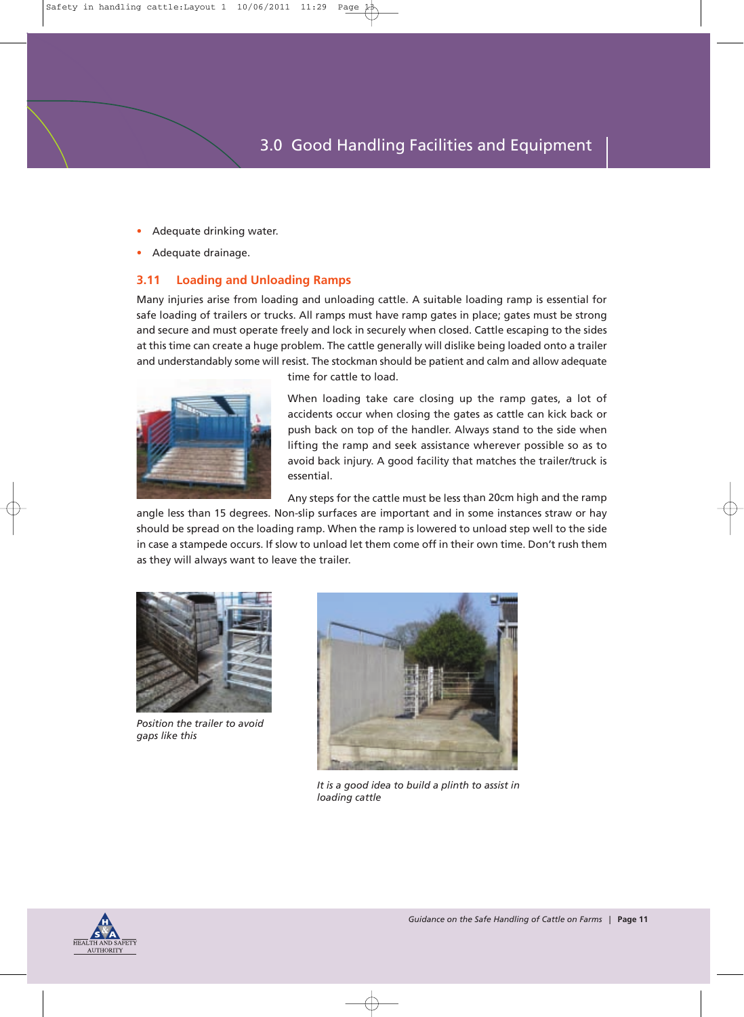- Adequate drinking water.
- Adequate drainage.

# **3.11 Loading and Unloading Ramps**

Many injuries arise from loading and unloading cattle. A suitable loading ramp is essential for safe loading of trailers or trucks. All ramps must have ramp gates in place; gates must be strong and secure and must operate freely and lock in securely when closed. Cattle escaping to the sides at this time can create a huge problem. The cattle generally will dislike being loaded onto a trailer and understandably some will resist. The stockman should be patient and calm and allow adequate



time for cattle to load.

When loading take care closing up the ramp gates, a lot of accidents occur when closing the gates as cattle can kick back or push back on top of the handler. Always stand to the side when lifting the ramp and seek assistance wherever possible so as to avoid back injury. A good facility that matches the trailer/truck is essential.

Any steps for the cattle must be less than 20cm high and the ramp

angle less than 15 degrees. Non-slip surfaces are important and in some instances straw or hay should be spread on the loading ramp. When the ramp is lowered to unload step well to the side in case a stampede occurs. If slow to unload let them come off in their own time. Don't rush them as they will always want to leave the trailer.



*Position the trailer to avoid gaps like this*



*It is a good idea to build a plinth to assist in loading cattle*

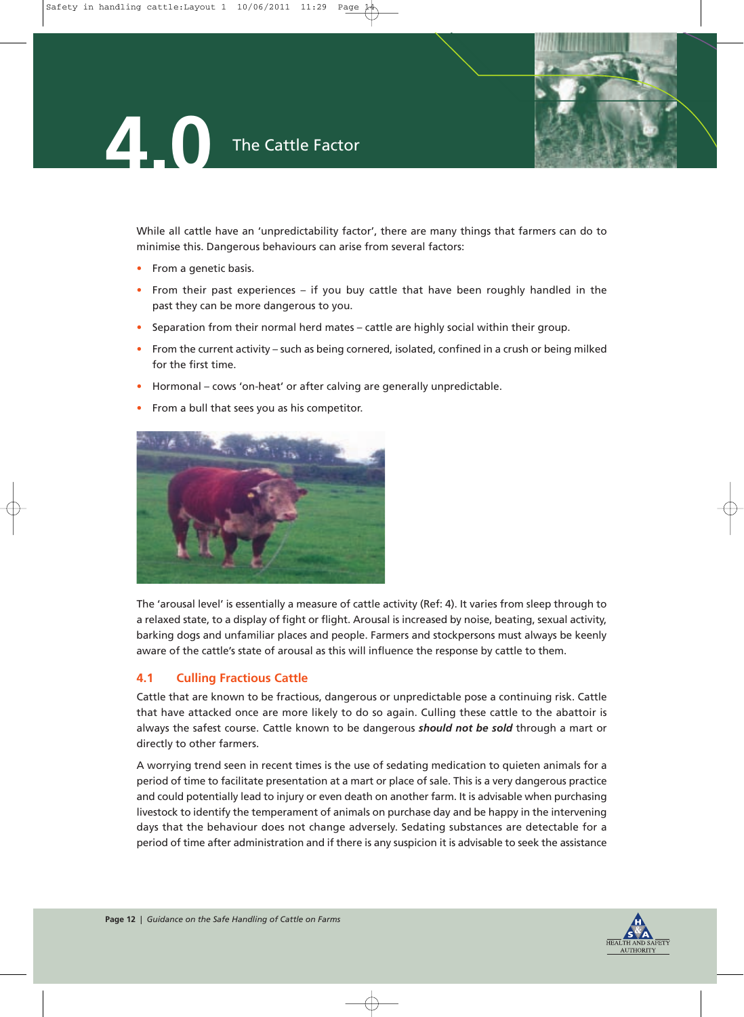

While all cattle have an 'unpredictability factor', there are many things that farmers can do to minimise this. Dangerous behaviours can arise from several factors:

- From a genetic basis.
- From their past experiences if you buy cattle that have been roughly handled in the past they can be more dangerous to you.
- Separation from their normal herd mates cattle are highly social within their group.
- From the current activity such as being cornered, isolated, confined in a crush or being milked for the first time.
- Hormonal cows 'on-heat' or after calving are generally unpredictable.
- From a bull that sees you as his competitor.



The 'arousal level' is essentially a measure of cattle activity (Ref: 4). It varies from sleep through to a relaxed state, to a display of fight or flight. Arousal is increased by noise, beating, sexual activity, barking dogs and unfamiliar places and people. Farmers and stockpersons must always be keenly aware of the cattle's state of arousal as this will influence the response by cattle to them.

# **4.1 Culling Fractious Cattle**

Cattle that are known to be fractious, dangerous or unpredictable pose a continuing risk. Cattle that have attacked once are more likely to do so again. Culling these cattle to the abattoir is always the safest course. Cattle known to be dangerous *should not be sold* through a mart or directly to other farmers.

A worrying trend seen in recent times is the use of sedating medication to quieten animals for a period of time to facilitate presentation at a mart or place of sale. This is a very dangerous practice and could potentially lead to injury or even death on another farm. It is advisable when purchasing livestock to identify the temperament of animals on purchase day and be happy in the intervening days that the behaviour does not change adversely. Sedating substances are detectable for a period of time after administration and if there is any suspicion it is advisable to seek the assistance

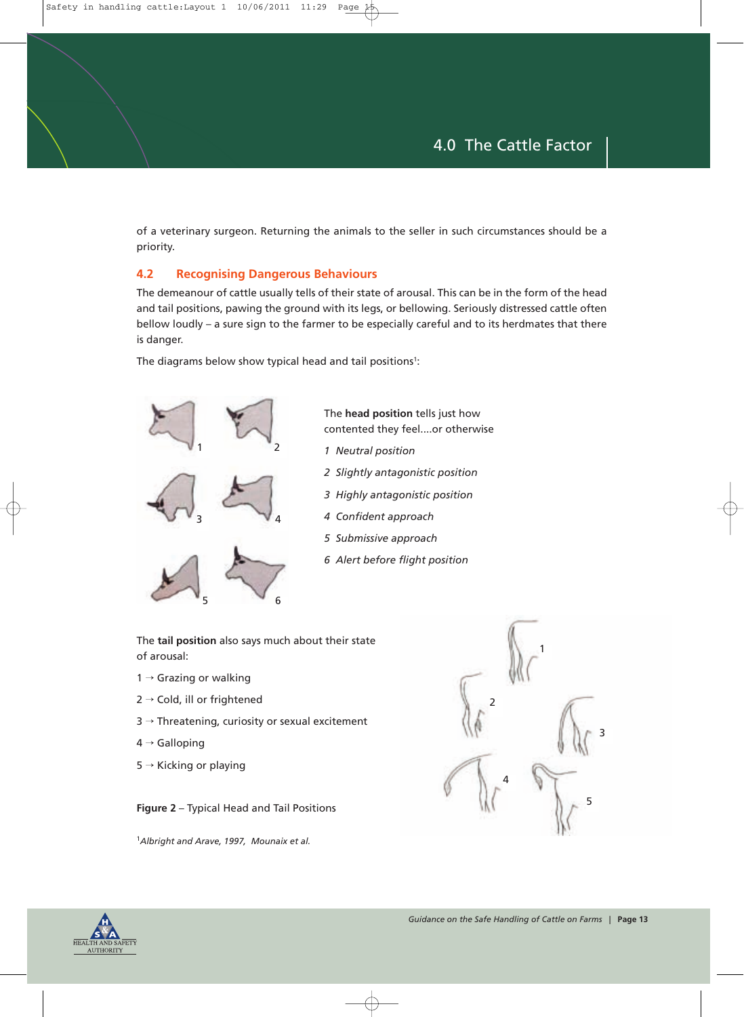of a veterinary surgeon. Returning the animals to the seller in such circumstances should be a priority.

# **4.2 Recognising Dangerous Behaviours**

The demeanour of cattle usually tells of their state of arousal. This can be in the form of the head and tail positions, pawing the ground with its legs, or bellowing. Seriously distressed cattle often bellow loudly – a sure sign to the farmer to be especially careful and to its herdmates that there is danger.

The diagrams below show typical head and tail positions<sup>1</sup>:



The **head position** tells just how contented they feel....or otherwise

- *1 Neutral position*
- *2 Slightly antagonistic position*
- *3 Highly antagonistic position*
- *4 Confident approach*
- *5 Submissive approach*
- *6 Alert before flight position*

The **tail position** also says much about their state of arousal:

- 1  $\rightarrow$  Grazing or walking
- $2 \rightarrow$  Cold, ill or frightened
- $3 \rightarrow$  Threatening, curiosity or sexual excitement
- $4 \rightarrow$  Galloping
- $5 \rightarrow$  Kicking or playing

**Figure 2** – Typical Head and Tail Positions

<sup>1</sup>*Albright and Arave, 1997, Mounaix et al.*



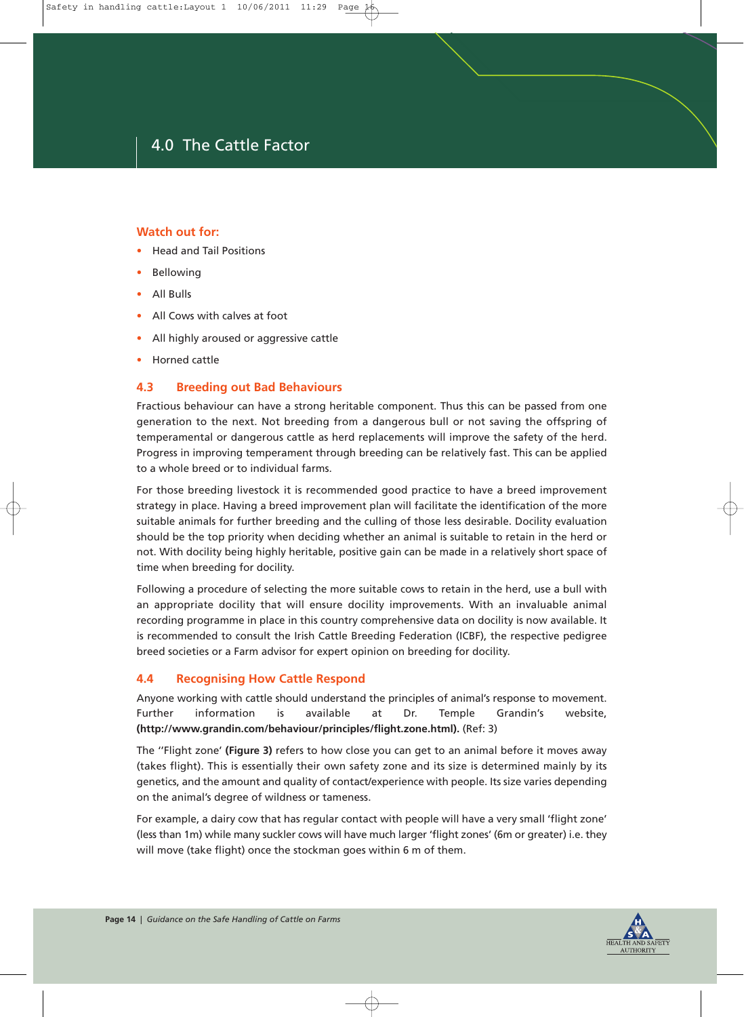## **Watch out for:**

- Head and Tail Positions
- Bellowing
- All Bulls
- All Cows with calves at foot
- All highly aroused or aggressive cattle
- Horned cattle

# **4.3 Breeding out Bad Behaviours**

Fractious behaviour can have a strong heritable component. Thus this can be passed from one generation to the next. Not breeding from a dangerous bull or not saving the offspring of temperamental or dangerous cattle as herd replacements will improve the safety of the herd. Progress in improving temperament through breeding can be relatively fast. This can be applied to a whole breed or to individual farms.

For those breeding livestock it is recommended good practice to have a breed improvement strategy in place. Having a breed improvement plan will facilitate the identification of the more suitable animals for further breeding and the culling of those less desirable. Docility evaluation should be the top priority when deciding whether an animal is suitable to retain in the herd or not. With docility being highly heritable, positive gain can be made in a relatively short space of time when breeding for docility.

Following a procedure of selecting the more suitable cows to retain in the herd, use a bull with an appropriate docility that will ensure docility improvements. With an invaluable animal recording programme in place in this country comprehensive data on docility is now available. It is recommended to consult the Irish Cattle Breeding Federation (ICBF), the respective pedigree breed societies or a Farm advisor for expert opinion on breeding for docility.

# **4.4 Recognising How Cattle Respond**

Anyone working with cattle should understand the principles of animal's response to movement. Further information is available at Dr. Temple Grandin's website, **(http://www.grandin.com/behaviour/principles/flight.zone.html).** (Ref: 3)

The ''Flight zone' **(Figure 3)** refers to how close you can get to an animal before it moves away (takes flight). This is essentially their own safety zone and its size is determined mainly by its genetics, and the amount and quality of contact/experience with people. Its size varies depending on the animal's degree of wildness or tameness.

For example, a dairy cow that has regular contact with people will have a very small 'flight zone' (less than 1m) while many suckler cows will have much larger 'flight zones' (6m or greater) i.e. they will move (take flight) once the stockman goes within 6 m of them.

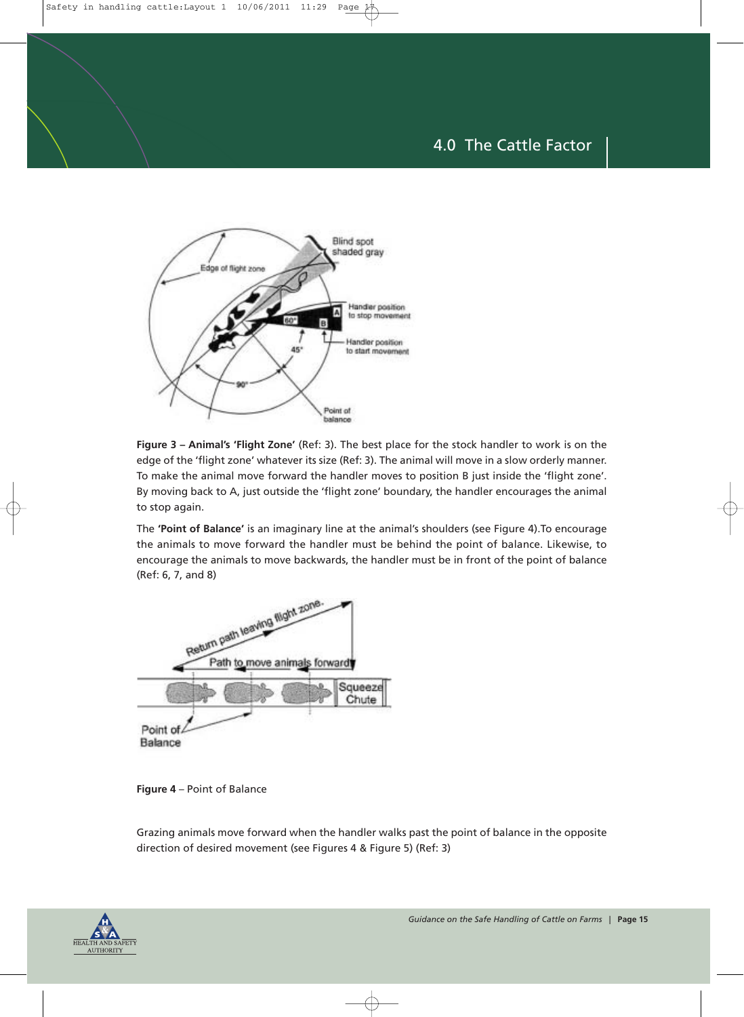

**Figure 3 – Animal's 'Flight Zone'** (Ref: 3). The best place for the stock handler to work is on the edge of the 'flight zone' whatever its size (Ref: 3). The animal will move in a slow orderly manner. To make the animal move forward the handler moves to position B just inside the 'flight zone'. By moving back to A, just outside the 'flight zone' boundary, the handler encourages the animal to stop again.

The **'Point of Balance'** is an imaginary line at the animal's shoulders (see Figure 4).To encourage the animals to move forward the handler must be behind the point of balance. Likewise, to encourage the animals to move backwards, the handler must be in front of the point of balance (Ref: 6, 7, and 8)



**Figure 4** – Point of Balance

Grazing animals move forward when the handler walks past the point of balance in the opposite direction of desired movement (see Figures 4 & Figure 5) (Ref: 3)

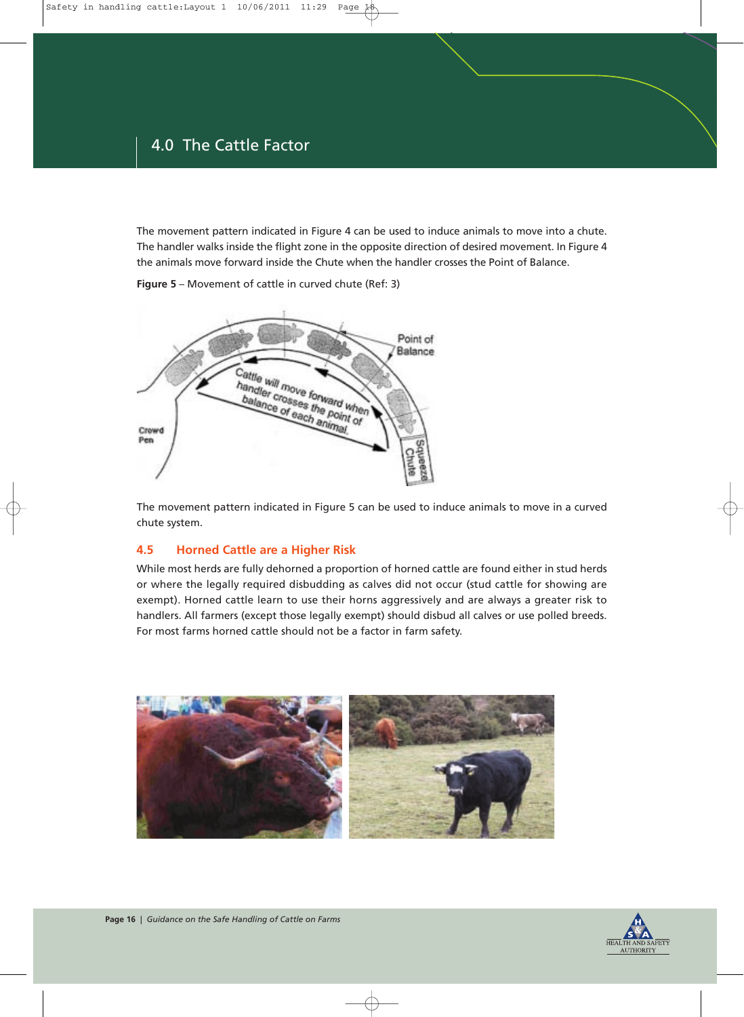The movement pattern indicated in Figure 4 can be used to induce animals to move into a chute. The handler walks inside the flight zone in the opposite direction of desired movement. In Figure 4 the animals move forward inside the Chute when the handler crosses the Point of Balance.



**Figure 5** – Movement of cattle in curved chute (Ref: 3)

The movement pattern indicated in Figure 5 can be used to induce animals to move in a curved chute system.

# **4.5 Horned Cattle are a Higher Risk**

While most herds are fully dehorned a proportion of horned cattle are found either in stud herds or where the legally required disbudding as calves did not occur (stud cattle for showing are exempt). Horned cattle learn to use their horns aggressively and are always a greater risk to handlers. All farmers (except those legally exempt) should disbud all calves or use polled breeds. For most farms horned cattle should not be a factor in farm safety.



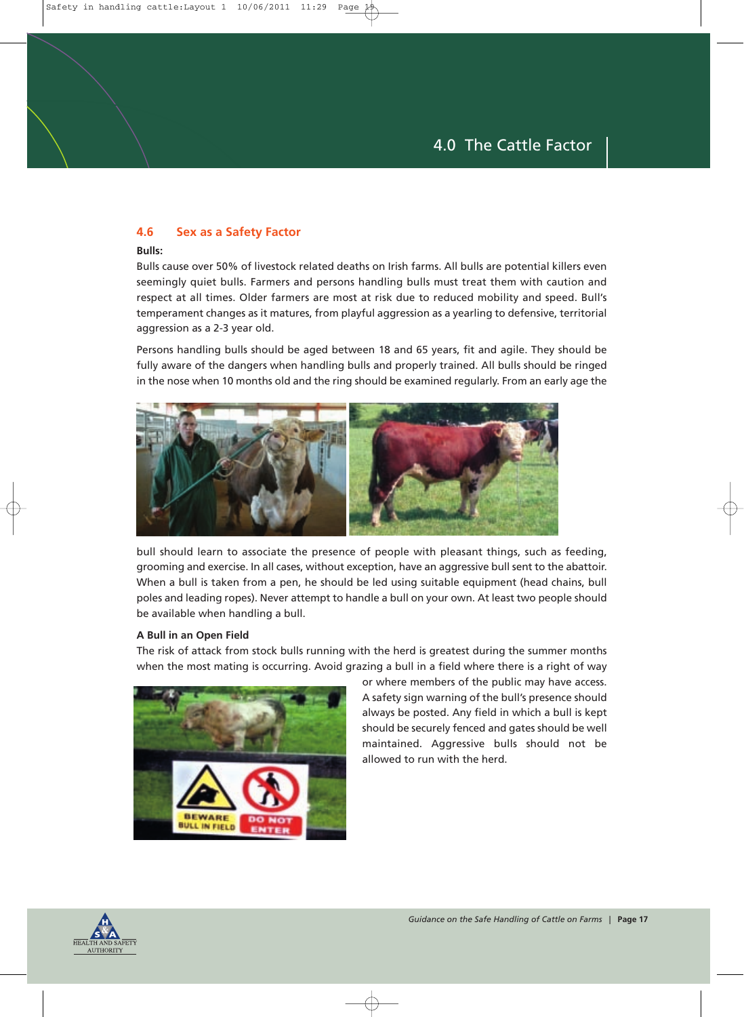## **4.6 Sex as a Safety Factor**

### **Bulls:**

Bulls cause over 50% of livestock related deaths on Irish farms. All bulls are potential killers even seemingly quiet bulls. Farmers and persons handling bulls must treat them with caution and respect at all times. Older farmers are most at risk due to reduced mobility and speed. Bull's temperament changes as it matures, from playful aggression as a yearling to defensive, territorial aggression as a 2-3 year old.

Persons handling bulls should be aged between 18 and 65 years, fit and agile. They should be fully aware of the dangers when handling bulls and properly trained. All bulls should be ringed in the nose when 10 months old and the ring should be examined regularly. From an early age the



bull should learn to associate the presence of people with pleasant things, such as feeding, grooming and exercise. In all cases, without exception, have an aggressive bull sent to the abattoir. When a bull is taken from a pen, he should be led using suitable equipment (head chains, bull poles and leading ropes). Never attempt to handle a bull on your own. At least two people should be available when handling a bull.

## **A Bull in an Open Field**

The risk of attack from stock bulls running with the herd is greatest during the summer months when the most mating is occurring. Avoid grazing a bull in a field where there is a right of way



or where members of the public may have access. A safety sign warning of the bull's presence should always be posted. Any field in which a bull is kept should be securely fenced and gates should be well maintained. Aggressive bulls should not be allowed to run with the herd.

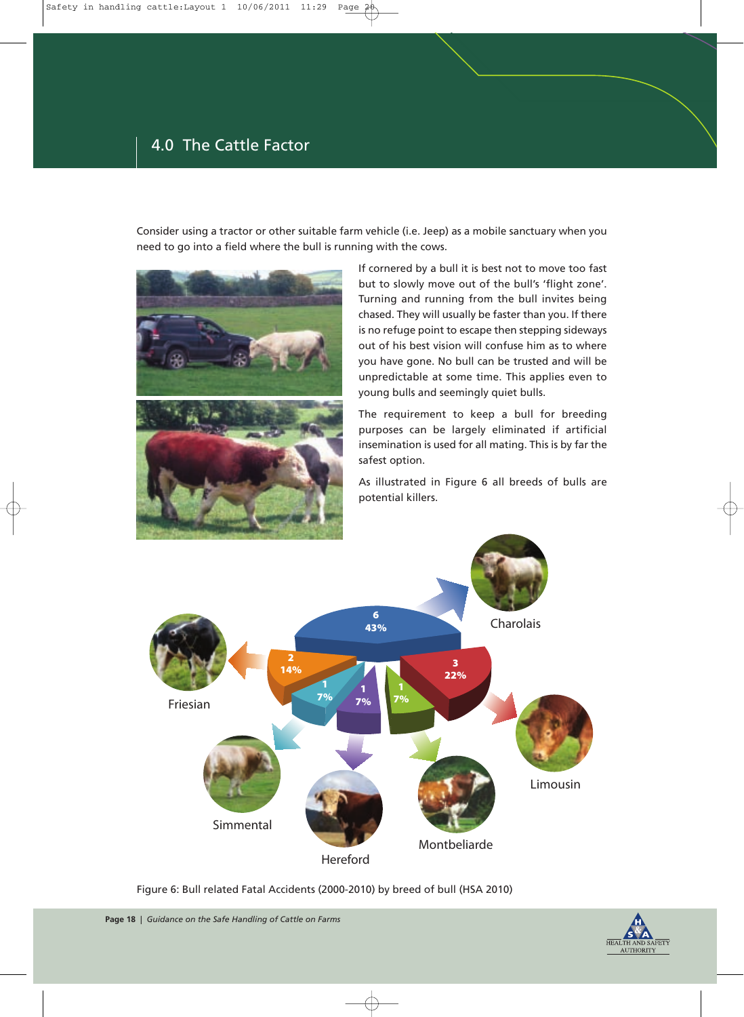Consider using a tractor or other suitable farm vehicle (i.e. Jeep) as a mobile sanctuary when you need to go into a field where the bull is running with the cows.



If cornered by a bull it is best not to move too fast but to slowly move out of the bull's 'flight zone'. Turning and running from the bull invites being chased. They will usually be faster than you. If there is no refuge point to escape then stepping sideways out of his best vision will confuse him as to where you have gone. No bull can be trusted and will be unpredictable at some time. This applies even to young bulls and seemingly quiet bulls.

The requirement to keep a bull for breeding purposes can be largely eliminated if artificial insemination is used for all mating. This is by far the safest option.

As illustrated in Figure 6 all breeds of bulls are potential killers.



Figure 6: Bull related Fatal Accidents (2000-2010) by breed of bull (HSA 2010)

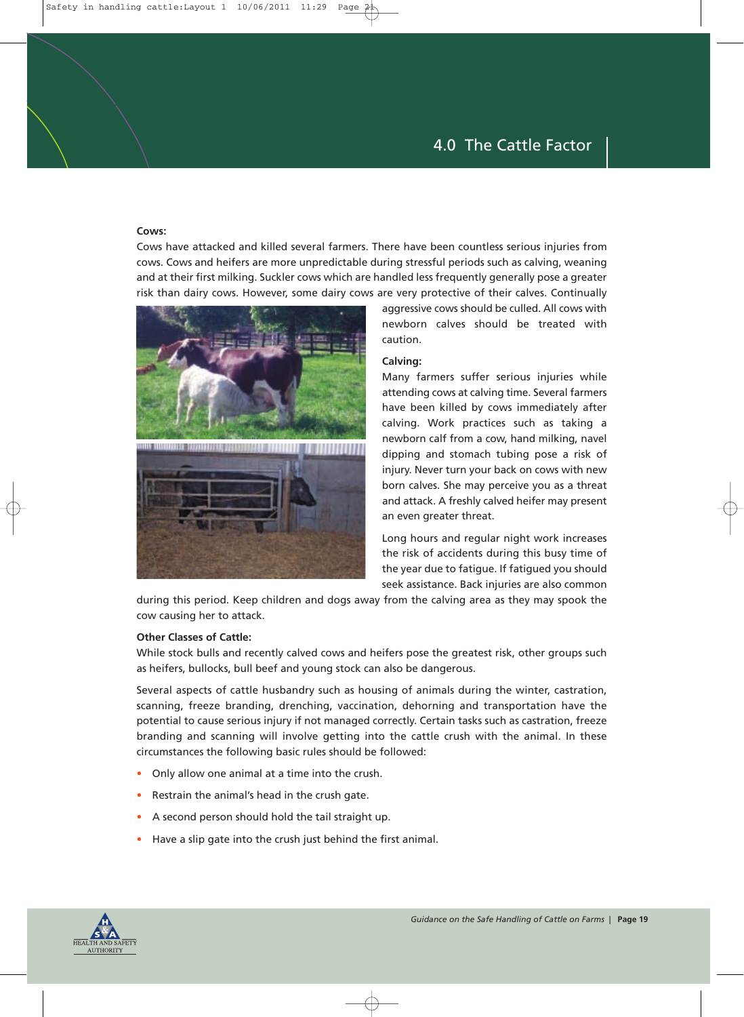### **Cows:**

Cows have attacked and killed several farmers. There have been countless serious injuries from cows. Cows and heifers are more unpredictable during stressful periods such as calving, weaning and at their first milking. Suckler cows which are handled less frequently generally pose a greater risk than dairy cows. However, some dairy cows are very protective of their calves. Continually



aggressive cows should be culled. All cows with newborn calves should be treated with caution.

### **Calving:**

Many farmers suffer serious injuries while attending cows at calving time. Several farmers have been killed by cows immediately after calving. Work practices such as taking a newborn calf from a cow, hand milking, navel dipping and stomach tubing pose a risk of injury. Never turn your back on cows with new born calves. She may perceive you as a threat and attack. A freshly calved heifer may present an even greater threat.

Long hours and regular night work increases the risk of accidents during this busy time of the year due to fatigue. If fatigued you should seek assistance. Back injuries are also common

during this period. Keep children and dogs away from the calving area as they may spook the cow causing her to attack.

### **Other Classes of Cattle:**

While stock bulls and recently calved cows and heifers pose the greatest risk, other groups such as heifers, bullocks, bull beef and young stock can also be dangerous.

Several aspects of cattle husbandry such as housing of animals during the winter, castration, scanning, freeze branding, drenching, vaccination, dehorning and transportation have the potential to cause serious injury if not managed correctly. Certain tasks such as castration, freeze branding and scanning will involve getting into the cattle crush with the animal. In these circumstances the following basic rules should be followed:

- Only allow one animal at a time into the crush.
- Restrain the animal's head in the crush gate.
- A second person should hold the tail straight up.
- Have a slip gate into the crush just behind the first animal.

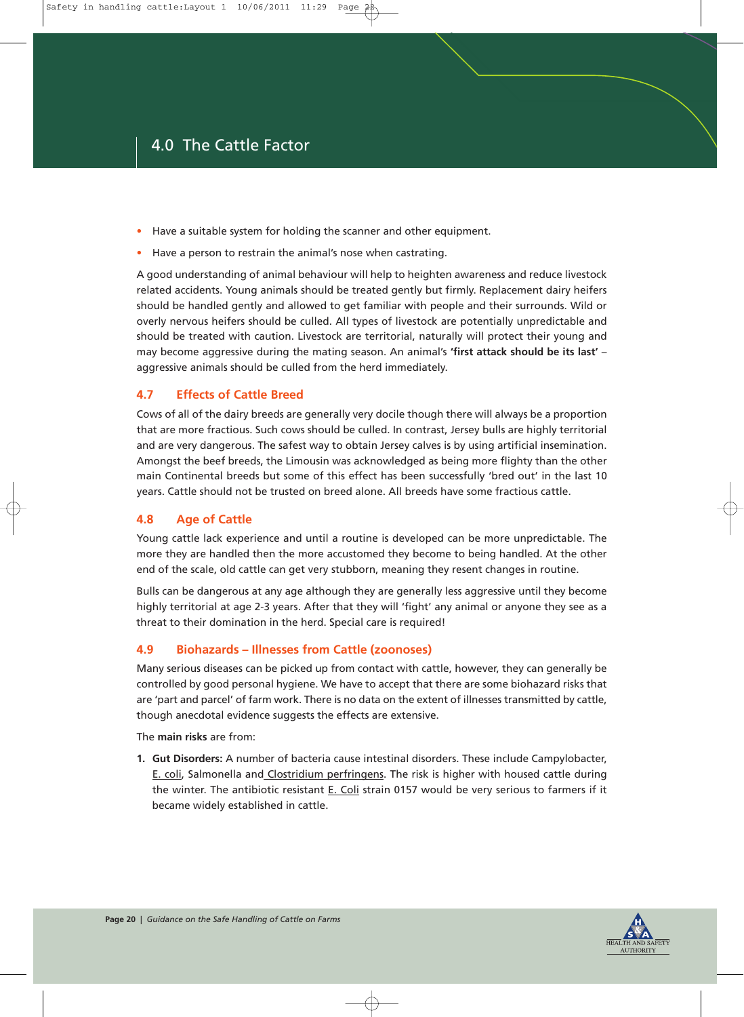- Have a suitable system for holding the scanner and other equipment.
- Have a person to restrain the animal's nose when castrating.

A good understanding of animal behaviour will help to heighten awareness and reduce livestock related accidents. Young animals should be treated gently but firmly. Replacement dairy heifers should be handled gently and allowed to get familiar with people and their surrounds. Wild or overly nervous heifers should be culled. All types of livestock are potentially unpredictable and should be treated with caution. Livestock are territorial, naturally will protect their young and may become aggressive during the mating season. An animal's **'first attack should be its last'** – aggressive animals should be culled from the herd immediately.

# **4.7 Effects of Cattle Breed**

Cows of all of the dairy breeds are generally very docile though there will always be a proportion that are more fractious. Such cows should be culled. In contrast, Jersey bulls are highly territorial and are very dangerous. The safest way to obtain Jersey calves is by using artificial insemination. Amongst the beef breeds, the Limousin was acknowledged as being more flighty than the other main Continental breeds but some of this effect has been successfully 'bred out' in the last 10 years. Cattle should not be trusted on breed alone. All breeds have some fractious cattle.

# **4.8 Age of Cattle**

Young cattle lack experience and until a routine is developed can be more unpredictable. The more they are handled then the more accustomed they become to being handled. At the other end of the scale, old cattle can get very stubborn, meaning they resent changes in routine.

Bulls can be dangerous at any age although they are generally less aggressive until they become highly territorial at age 2-3 years. After that they will 'fight' any animal or anyone they see as a threat to their domination in the herd. Special care is required!

# **4.9 Biohazards – Illnesses from Cattle (zoonoses)**

Many serious diseases can be picked up from contact with cattle, however, they can generally be controlled by good personal hygiene. We have to accept that there are some biohazard risks that are 'part and parcel' of farm work. There is no data on the extent of illnesses transmitted by cattle, though anecdotal evidence suggests the effects are extensive.

The **main risks** are from:

**1. Gut Disorders:** A number of bacteria cause intestinal disorders. These include Campylobacter, E. coli, Salmonella and Clostridium perfringens. The risk is higher with housed cattle during the winter. The antibiotic resistant  $E$ . Coli strain 0157 would be very serious to farmers if it became widely established in cattle.

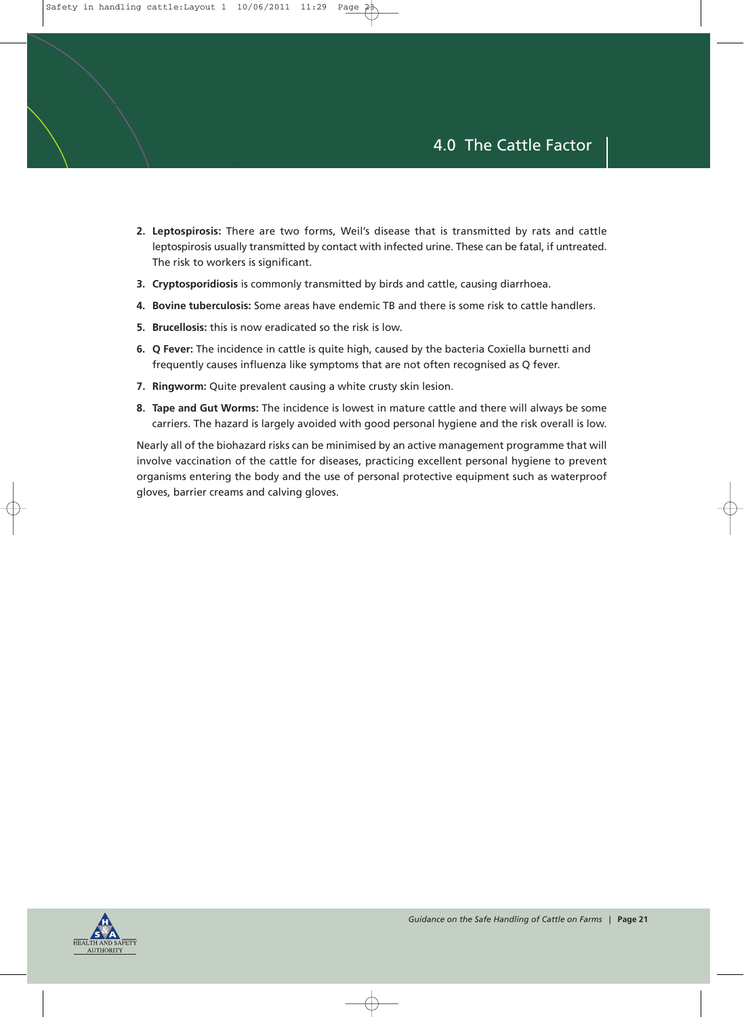- **2. Leptospirosis:** There are two forms, Weil's disease that is transmitted by rats and cattle leptospirosis usually transmitted by contact with infected urine. These can be fatal, if untreated. The risk to workers is significant.
- **3. Cryptosporidiosis** is commonly transmitted by birds and cattle, causing diarrhoea.
- **4. Bovine tuberculosis:** Some areas have endemic TB and there is some risk to cattle handlers.
- **5. Brucellosis:** this is now eradicated so the risk is low.
- **6. Q Fever:** The incidence in cattle is quite high, caused by the bacteria Coxiella burnetti and frequently causes influenza like symptoms that are not often recognised as Q fever.
- **7. Ringworm:** Quite prevalent causing a white crusty skin lesion.
- **8. Tape and Gut Worms:** The incidence is lowest in mature cattle and there will always be some carriers. The hazard is largely avoided with good personal hygiene and the risk overall is low.

Nearly all of the biohazard risks can be minimised by an active management programme that will involve vaccination of the cattle for diseases, practicing excellent personal hygiene to prevent organisms entering the body and the use of personal protective equipment such as waterproof gloves, barrier creams and calving gloves.

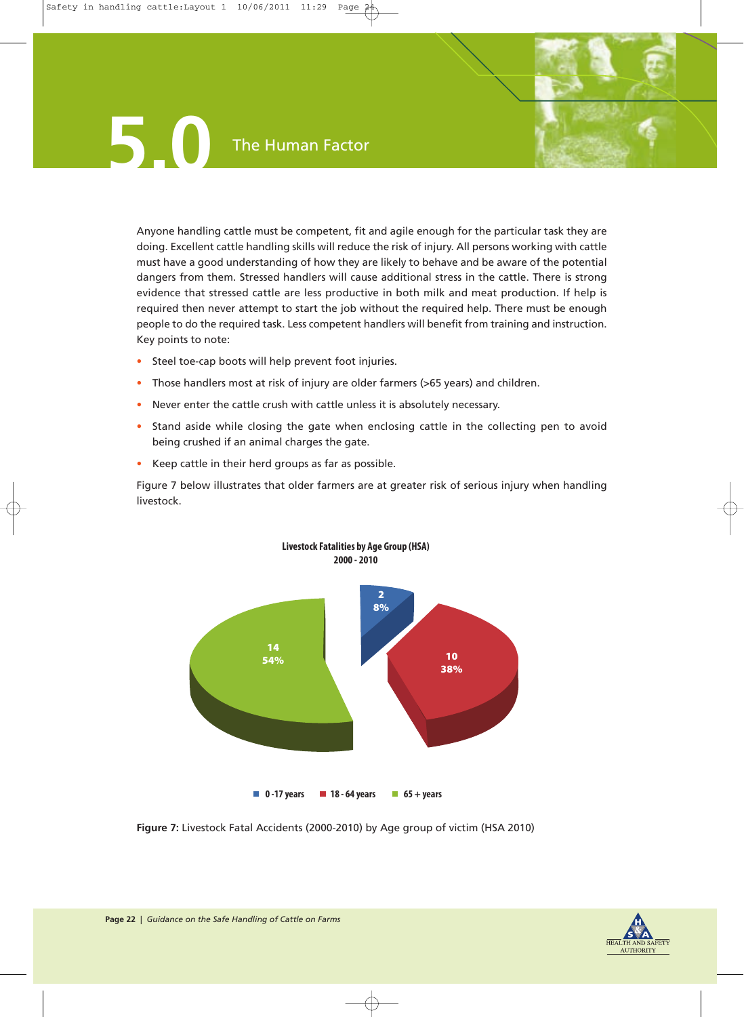# **5.0** The Human Factor

Anyone handling cattle must be competent, fit and agile enough for the particular task they are doing. Excellent cattle handling skills will reduce the risk of injury. All persons working with cattle must have a good understanding of how they are likely to behave and be aware of the potential dangers from them. Stressed handlers will cause additional stress in the cattle. There is strong evidence that stressed cattle are less productive in both milk and meat production. If help is required then never attempt to start the job without the required help. There must be enough people to do the required task. Less competent handlers will benefit from training and instruction. Key points to note:

- Steel toe-cap boots will help prevent foot injuries.
- Those handlers most at risk of injury are older farmers (>65 years) and children.
- Never enter the cattle crush with cattle unless it is absolutely necessary.
- Stand aside while closing the gate when enclosing cattle in the collecting pen to avoid being crushed if an animal charges the gate.
- Keep cattle in their herd groups as far as possible.

Figure 7 below illustrates that older farmers are at greater risk of serious injury when handling livestock.





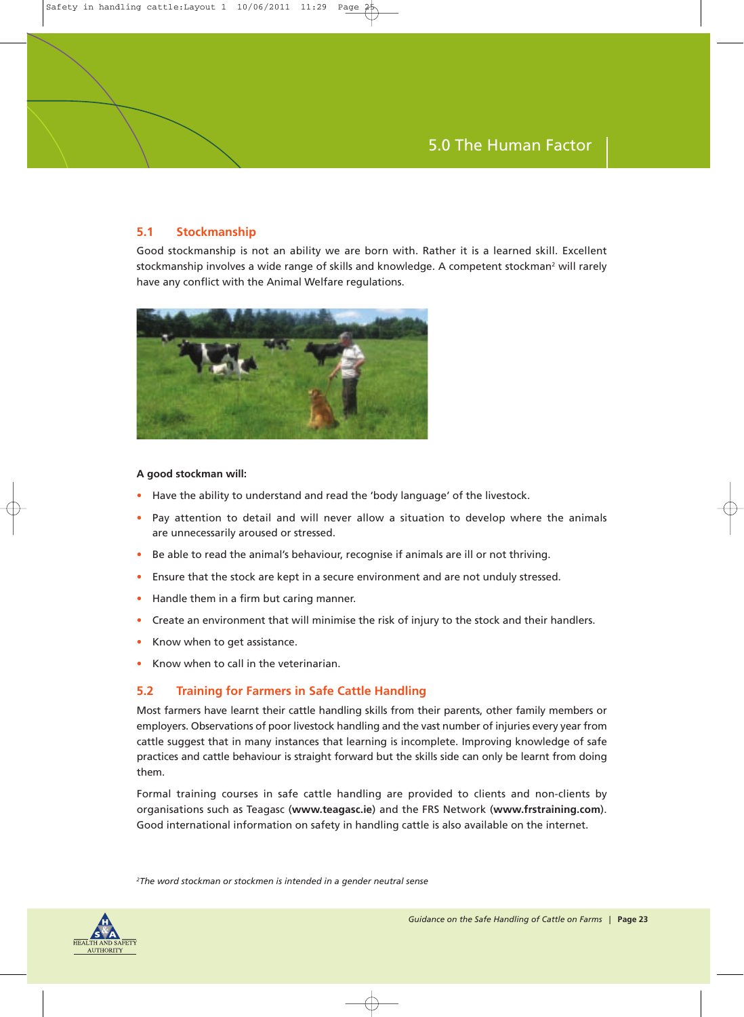# **5.1 Stockmanship**

Good stockmanship is not an ability we are born with. Rather it is a learned skill. Excellent stockmanship involves a wide range of skills and knowledge. A competent stockman<sup>2</sup> will rarely have any conflict with the Animal Welfare regulations.



## **A good stockman will:**

- Have the ability to understand and read the 'body language' of the livestock.
- Pay attention to detail and will never allow a situation to develop where the animals are unnecessarily aroused or stressed.
- Be able to read the animal's behaviour, recognise if animals are ill or not thriving.
- Ensure that the stock are kept in a secure environment and are not unduly stressed.
- Handle them in a firm but caring manner.
- Create an environment that will minimise the risk of injury to the stock and their handlers.
- Know when to get assistance.
- Know when to call in the veterinarian.

# **5.2 Training for Farmers in Safe Cattle Handling**

Most farmers have learnt their cattle handling skills from their parents, other family members or employers. Observations of poor livestock handling and the vast number of injuries every year from cattle suggest that in many instances that learning is incomplete. Improving knowledge of safe practices and cattle behaviour is straight forward but the skills side can only be learnt from doing them.

Formal training courses in safe cattle handling are provided to clients and non-clients by organisations such as Teagasc (**www.teagasc.ie**) and the FRS Network (**www.frstraining.com**). Good international information on safety in handling cattle is also available on the internet.

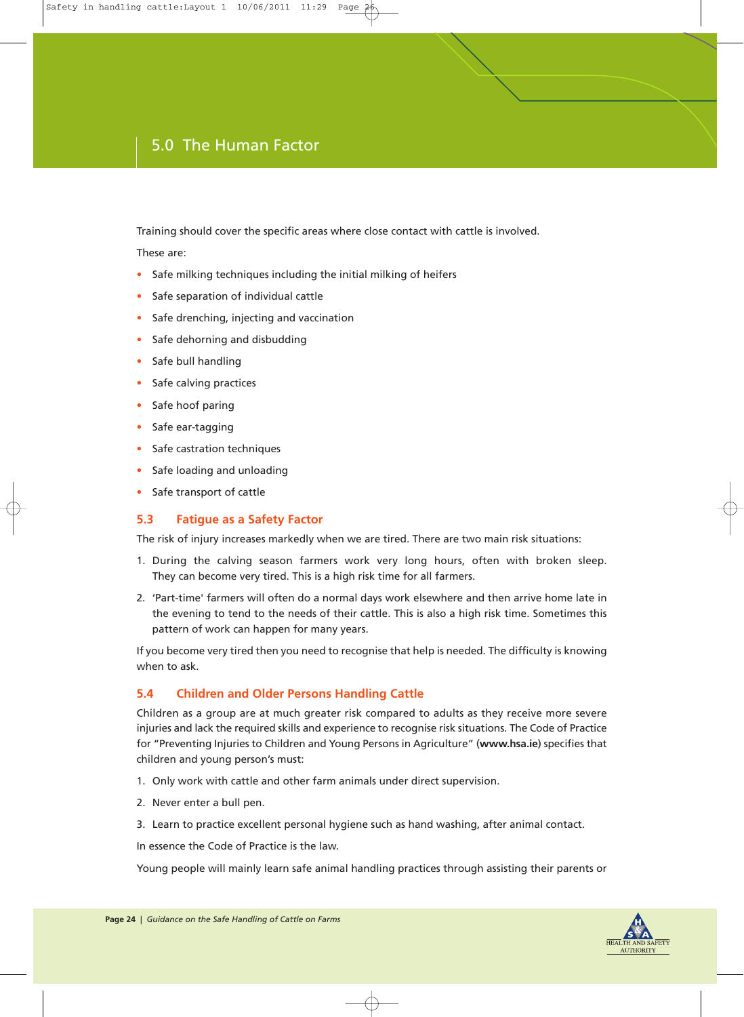# 5.0 The Human Factor

Training should cover the specific areas where close contact with cattle is involved.

These are:

- Safe milking techniques including the initial milking of heifers
- Safe separation of individual cattle
- Safe drenching, injecting and vaccination
- Safe dehorning and disbudding
- Safe bull handling
- Safe calving practices
- Safe hoof paring
- Safe ear-tagging
- Safe castration techniques
- Safe loading and unloading
- Safe transport of cattle

# **5.3 Fatigue as a Safety Factor**

The risk of injury increases markedly when we are tired. There are two main risk situations:

- 1. During the calving season farmers work very long hours, often with broken sleep. They can become very tired. This is a high risk time for all farmers.
- 2. 'Part-time' farmers will often do a normal days work elsewhere and then arrive home late in the evening to tend to the needs of their cattle. This is also a high risk time. Sometimes this pattern of work can happen for many years.

If you become very tired then you need to recognise that help is needed. The difficulty is knowing when to ask.

# **5.4 Children and Older Persons Handling Cattle**

Children as a group are at much greater risk compared to adults as they receive more severe injuries and lack the required skills and experience to recognise risk situations. The Code of Practice for "Preventing Injuries to Children and Young Persons in Agriculture" (**www.hsa.ie**) specifies that children and young person's must:

- 1. Only work with cattle and other farm animals under direct supervision.
- 2. Never enter a bull pen.
- 3. Learn to practice excellent personal hygiene such as hand washing, after animal contact.

In essence the Code of Practice is the law.

Young people will mainly learn safe animal handling practices through assisting their parents or

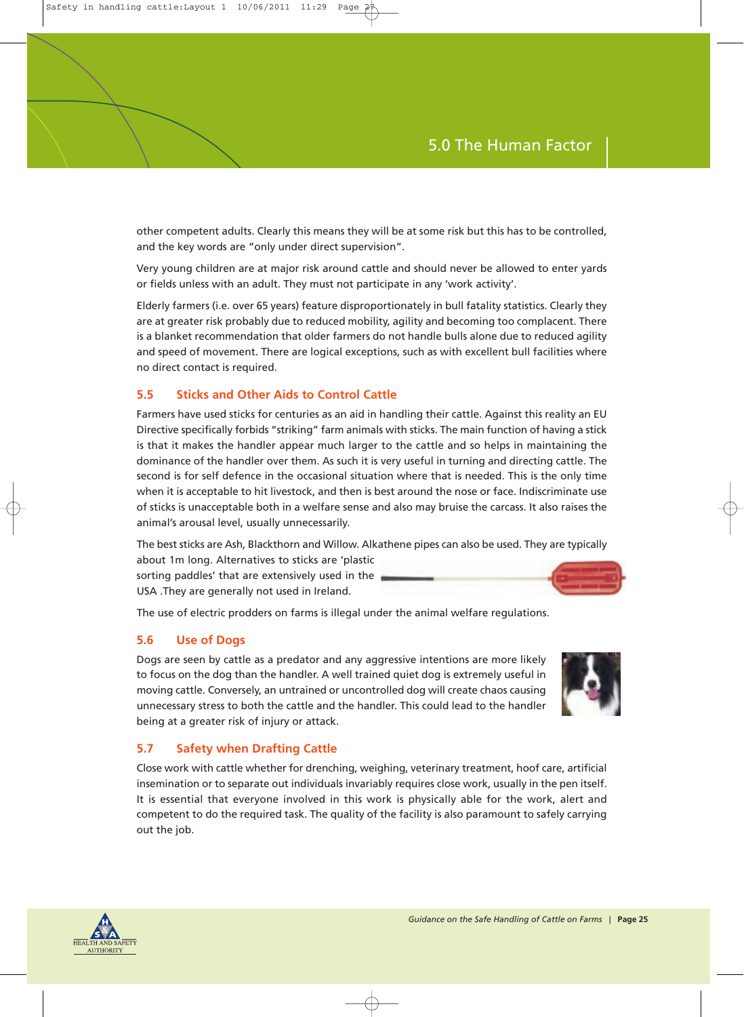other competent adults. Clearly this means they will be at some risk but this has to be controlled, and the key words are "only under direct supervision".

Very young children are at major risk around cattle and should never be allowed to enter yards or fields unless with an adult. They must not participate in any 'work activity'.

Elderly farmers (i.e. over 65 years) feature disproportionately in bull fatality statistics. Clearly they are at greater risk probably due to reduced mobility, agility and becoming too complacent. There is a blanket recommendation that older farmers do not handle bulls alone due to reduced agility and speed of movement. There are logical exceptions, such as with excellent bull facilities where no direct contact is required.

# **5.5 Sticks and Other Aids to Control Cattle**

Farmers have used sticks for centuries as an aid in handling their cattle. Against this reality an EU Directive specifically forbids "striking" farm animals with sticks. The main function of having a stick is that it makes the handler appear much larger to the cattle and so helps in maintaining the dominance of the handler over them. As such it is very useful in turning and directing cattle. The second is for self defence in the occasional situation where that is needed. This is the only time when it is acceptable to hit livestock, and then is best around the nose or face. Indiscriminate use of sticks is unacceptable both in a welfare sense and also may bruise the carcass. It also raises the animal's arousal level, usually unnecessarily.

The best sticks are Ash, Blackthorn and Willow. Alkathene pipes can also be used. They are typically

about 1m long. Alternatives to sticks are 'plastic sorting paddles' that are extensively used in the USA .They are generally not used in Ireland.

The use of electric prodders on farms is illegal under the animal welfare regulations.

# **5.6 Use of Dogs**

Dogs are seen by cattle as a predator and any aggressive intentions are more likely to focus on the dog than the handler. A well trained quiet dog is extremely useful in moving cattle. Conversely, an untrained or uncontrolled dog will create chaos causing unnecessary stress to both the cattle and the handler. This could lead to the handler being at a greater risk of injury or attack.



# **5.7 Safety when Drafting Cattle**

Close work with cattle whether for drenching, weighing, veterinary treatment, hoof care, artificial insemination or to separate out individuals invariably requires close work, usually in the pen itself. It is essential that everyone involved in this work is physically able for the work, alert and competent to do the required task. The quality of the facility is also paramount to safely carrying out the job.

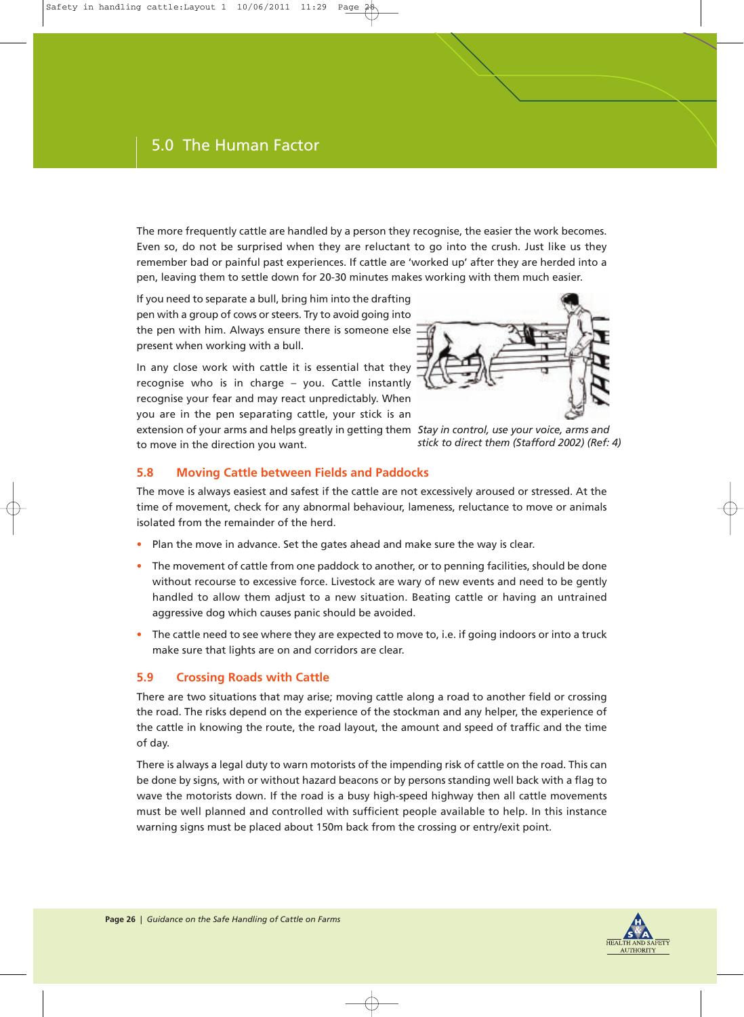# 5.0 The Human Factor

The more frequently cattle are handled by a person they recognise, the easier the work becomes. Even so, do not be surprised when they are reluctant to go into the crush. Just like us they remember bad or painful past experiences. If cattle are 'worked up' after they are herded into a pen, leaving them to settle down for 20-30 minutes makes working with them much easier.

If you need to separate a bull, bring him into the drafting pen with a group of cows or steers. Try to avoid going into the pen with him. Always ensure there is someone else present when working with a bull.

In any close work with cattle it is essential that they recognise who is in charge – you. Cattle instantly recognise your fear and may react unpredictably. When you are in the pen separating cattle, your stick is an extension of your arms and helps greatly in getting them *Stay in control, use your voice, arms and* to move in the direction you want.



*stick to direct them (Stafford 2002) (Ref: 4)*

# **5.8 Moving Cattle between Fields and Paddocks**

The move is always easiest and safest if the cattle are not excessively aroused or stressed. At the time of movement, check for any abnormal behaviour, lameness, reluctance to move or animals isolated from the remainder of the herd.

- Plan the move in advance. Set the gates ahead and make sure the way is clear.
- The movement of cattle from one paddock to another, or to penning facilities, should be done without recourse to excessive force. Livestock are wary of new events and need to be gently handled to allow them adjust to a new situation. Beating cattle or having an untrained aggressive dog which causes panic should be avoided.
- The cattle need to see where they are expected to move to, i.e. if going indoors or into a truck make sure that lights are on and corridors are clear.

# **5.9 Crossing Roads with Cattle**

There are two situations that may arise; moving cattle along a road to another field or crossing the road. The risks depend on the experience of the stockman and any helper, the experience of the cattle in knowing the route, the road layout, the amount and speed of traffic and the time of day.

There is always a legal duty to warn motorists of the impending risk of cattle on the road. This can be done by signs, with or without hazard beacons or by persons standing well back with a flag to wave the motorists down. If the road is a busy high-speed highway then all cattle movements must be well planned and controlled with sufficient people available to help. In this instance warning signs must be placed about 150m back from the crossing or entry/exit point.

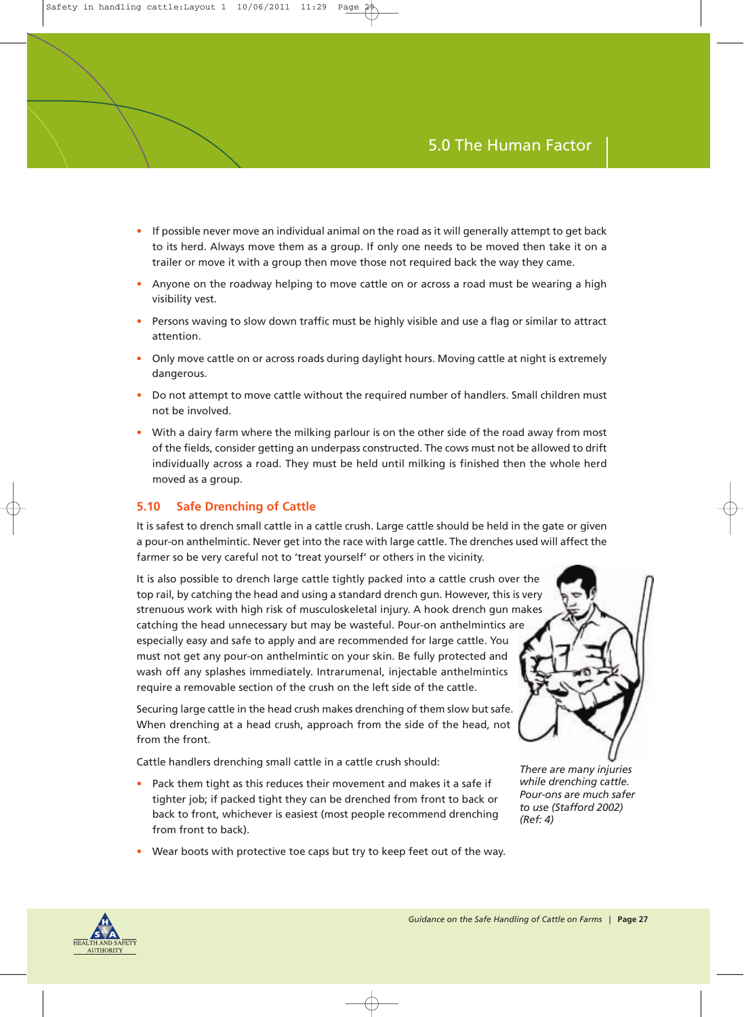- If possible never move an individual animal on the road as it will generally attempt to get back to its herd. Always move them as a group. If only one needs to be moved then take it on a trailer or move it with a group then move those not required back the way they came.
- Anyone on the roadway helping to move cattle on or across a road must be wearing a high visibility vest.
- Persons waving to slow down traffic must be highly visible and use a flag or similar to attract attention.
- Only move cattle on or across roads during daylight hours. Moving cattle at night is extremely dangerous.
- Do not attempt to move cattle without the required number of handlers. Small children must not be involved.
- With a dairy farm where the milking parlour is on the other side of the road away from most of the fields, consider getting an underpass constructed. The cows must not be allowed to drift individually across a road. They must be held until milking is finished then the whole herd moved as a group.

# **5.10 Safe Drenching of Cattle**

It is safest to drench small cattle in a cattle crush. Large cattle should be held in the gate or given a pour-on anthelmintic. Never get into the race with large cattle. The drenches used will affect the farmer so be very careful not to 'treat yourself' or others in the vicinity.

It is also possible to drench large cattle tightly packed into a cattle crush over the top rail, by catching the head and using a standard drench gun. However, this is very strenuous work with high risk of musculoskeletal injury. A hook drench gun makes catching the head unnecessary but may be wasteful. Pour-on anthelmintics are especially easy and safe to apply and are recommended for large cattle. You must not get any pour-on anthelmintic on your skin. Be fully protected and wash off any splashes immediately. Intrarumenal, injectable anthelmintics require a removable section of the crush on the left side of the cattle.

Securing large cattle in the head crush makes drenching of them slow but safe. When drenching at a head crush, approach from the side of the head, not from the front.

Cattle handlers drenching small cattle in a cattle crush should:

- Pack them tight as this reduces their movement and makes it a safe if tighter job; if packed tight they can be drenched from front to back or back to front, whichever is easiest (most people recommend drenching from front to back).
- Wear boots with protective toe caps but try to keep feet out of the way.



*There are many injuries while drenching cattle. Pour-ons are much safer to use (Stafford 2002) (Ref: 4)*

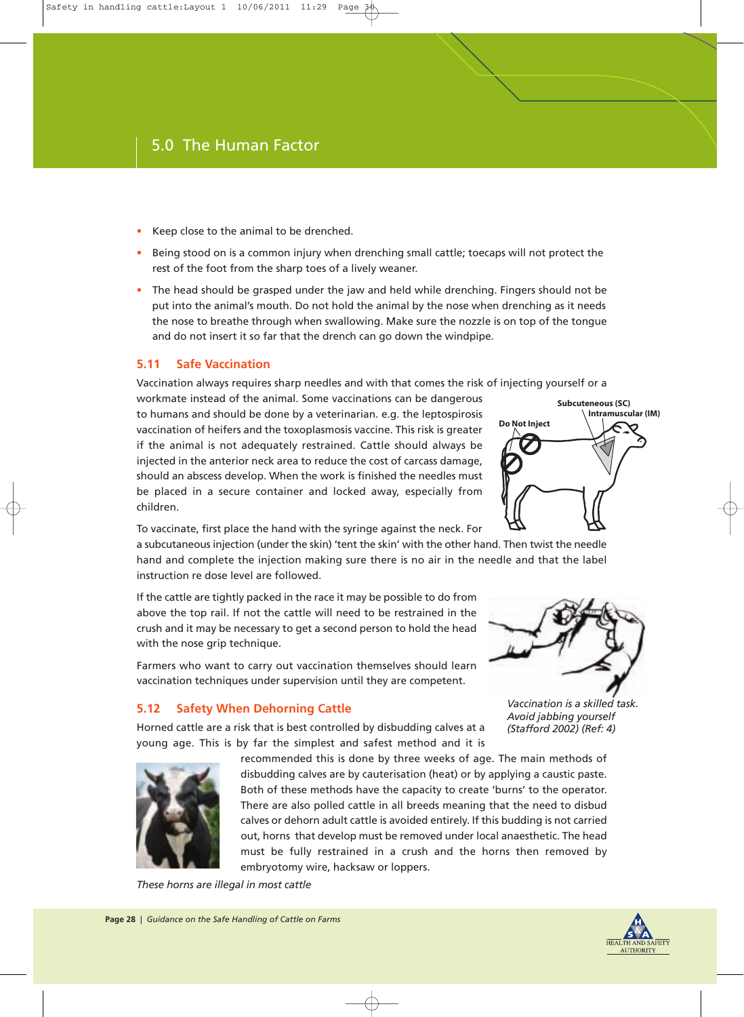- Keep close to the animal to be drenched.
- Being stood on is a common injury when drenching small cattle; toecaps will not protect the rest of the foot from the sharp toes of a lively weaner.
- The head should be grasped under the jaw and held while drenching. Fingers should not be put into the animal's mouth. Do not hold the animal by the nose when drenching as it needs the nose to breathe through when swallowing. Make sure the nozzle is on top of the tongue and do not insert it so far that the drench can go down the windpipe.

# **5.11 Safe Vaccination**

Vaccination always requires sharp needles and with that comes the risk of injecting yourself or a

workmate instead of the animal. Some vaccinations can be dangerous to humans and should be done by a veterinarian. e.g. the leptospirosis vaccination of heifers and the toxoplasmosis vaccine. This risk is greater if the animal is not adequately restrained. Cattle should always be injected in the anterior neck area to reduce the cost of carcass damage, should an abscess develop. When the work is finished the needles must be placed in a secure container and locked away, especially from children.

To vaccinate, first place the hand with the syringe against the neck. For

a subcutaneous injection (under the skin) 'tent the skin' with the other hand. Then twist the needle hand and complete the injection making sure there is no air in the needle and that the label instruction re dose level are followed.

If the cattle are tightly packed in the race it may be possible to do from above the top rail. If not the cattle will need to be restrained in the crush and it may be necessary to get a second person to hold the head with the nose grip technique.

Farmers who want to carry out vaccination themselves should learn vaccination techniques under supervision until they are competent.

# **5.12 Safety When Dehorning Cattle**

Horned cattle are a risk that is best controlled by disbudding calves at a young age. This is by far the simplest and safest method and it is

> recommended this is done by three weeks of age. The main methods of disbudding calves are by cauterisation (heat) or by applying a caustic paste. Both of these methods have the capacity to create 'burns' to the operator. There are also polled cattle in all breeds meaning that the need to disbud calves or dehorn adult cattle is avoided entirely. If this budding is not carried out, horns that develop must be removed under local anaesthetic. The head must be fully restrained in a crush and the horns then removed by embryotomy wire, hacksaw or loppers.

*These horns are illegal in most cattle*





*Vaccination is a skilled task. Avoid jabbing yourself (Stafford 2002) (Ref: 4)*

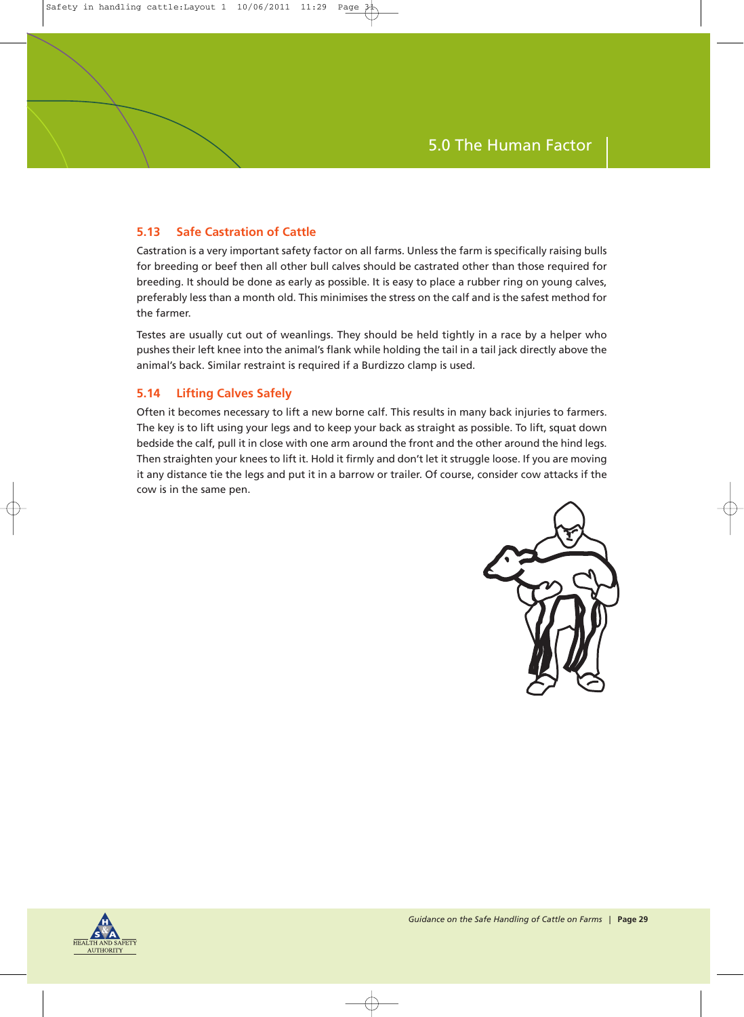# **5.13 Safe Castration of Cattle**

Castration is a very important safety factor on all farms. Unless the farm is specifically raising bulls for breeding or beef then all other bull calves should be castrated other than those required for breeding. It should be done as early as possible. It is easy to place a rubber ring on young calves, preferably less than a month old. This minimises the stress on the calf and is the safest method for the farmer.

Testes are usually cut out of weanlings. They should be held tightly in a race by a helper who pushes their left knee into the animal's flank while holding the tail in a tail jack directly above the animal's back. Similar restraint is required if a Burdizzo clamp is used.

# **5.14 Lifting Calves Safely**

Often it becomes necessary to lift a new borne calf. This results in many back injuries to farmers. The key is to lift using your legs and to keep your back as straight as possible. To lift, squat down bedside the calf, pull it in close with one arm around the front and the other around the hind legs. Then straighten your knees to lift it. Hold it firmly and don't let it struggle loose. If you are moving it any distance tie the legs and put it in a barrow or trailer. Of course, consider cow attacks if the cow is in the same pen.



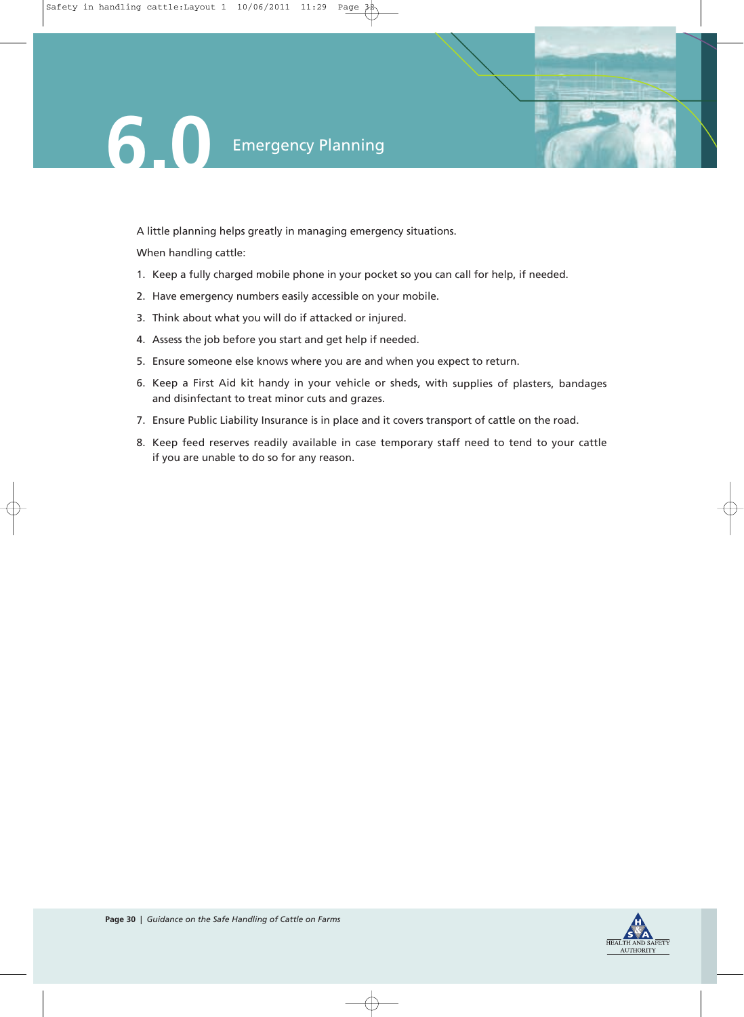A little planning helps greatly in managing emergency situations.

When handling cattle:

- 1. Keep a fully charged mobile phone in your pocket so you can call for help, if needed.
- 2. Have emergency numbers easily accessible on your mobile.
- 3. Think about what you will do if attacked or injured.
- 4. Assess the job before you start and get help if needed.
- 5. Ensure someone else knows where you are and when you expect to return.
- 6. Keep a First Aid kit handy in your vehicle or sheds, with supplies of plasters, bandages and disinfectant to treat minor cuts and grazes.
- 7. Ensure Public Liability Insurance is in place and it covers transport of cattle on the road.
- 8. Keep feed reserves readily available in case temporary staff need to tend to your cattle if you are unable to do so for any reason.

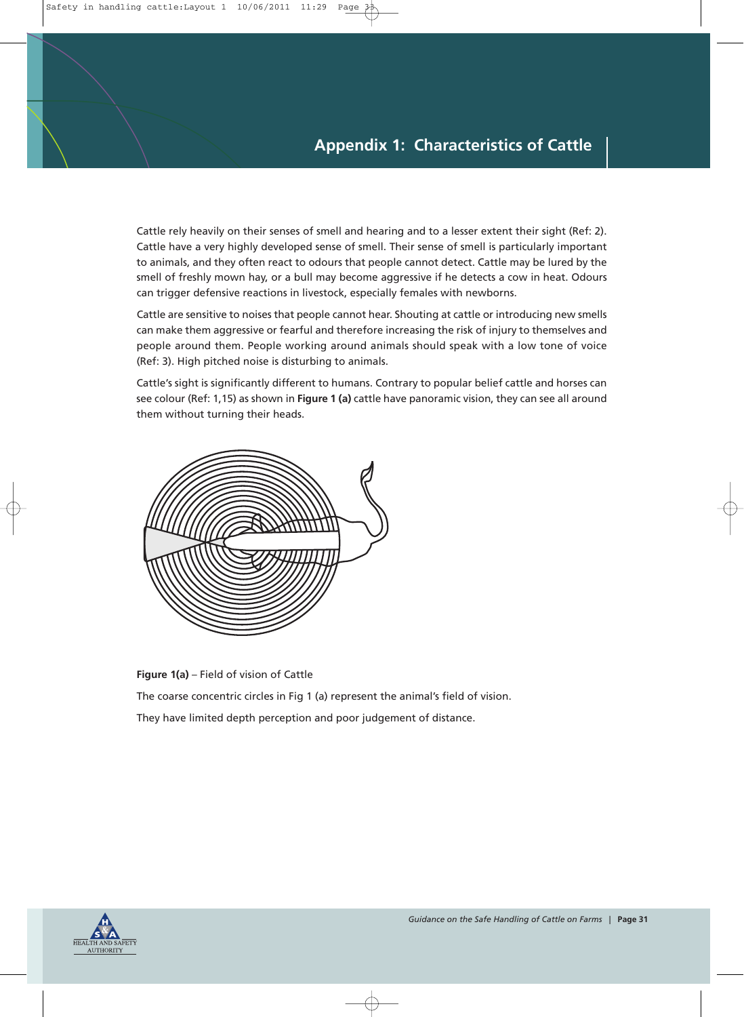Cattle rely heavily on their senses of smell and hearing and to a lesser extent their sight (Ref: 2). Cattle have a very highly developed sense of smell. Their sense of smell is particularly important to animals, and they often react to odours that people cannot detect. Cattle may be lured by the smell of freshly mown hay, or a bull may become aggressive if he detects a cow in heat. Odours can trigger defensive reactions in livestock, especially females with newborns.

Cattle are sensitive to noises that people cannot hear. Shouting at cattle or introducing new smells can make them aggressive or fearful and therefore increasing the risk of injury to themselves and people around them. People working around animals should speak with a low tone of voice (Ref: 3). High pitched noise is disturbing to animals.

Cattle's sight is significantly different to humans. Contrary to popular belief cattle and horses can see colour (Ref: 1,15) as shown in **Figure 1 (a)** cattle have panoramic vision, they can see all around them without turning their heads.





The coarse concentric circles in Fig 1 (a) represent the animal's field of vision.

They have limited depth perception and poor judgement of distance.

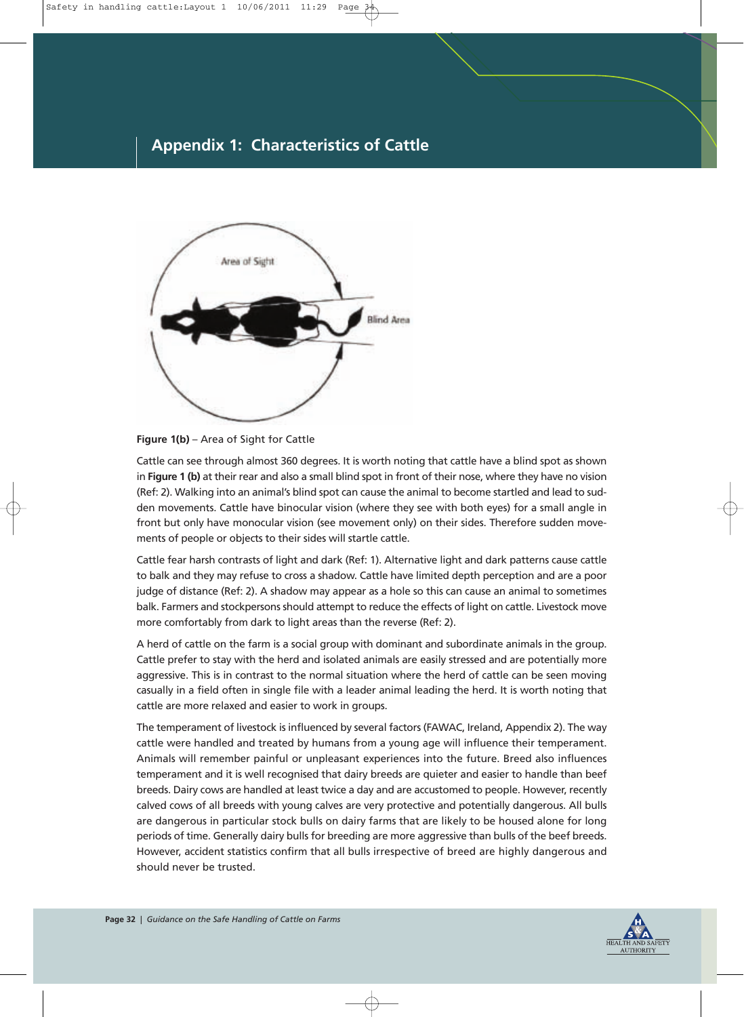# **Appendix 1: Characteristics of Cattle**



**Figure 1(b)** – Area of Sight for Cattle

Cattle can see through almost 360 degrees. It is worth noting that cattle have a blind spot as shown in **Figure 1 (b)** at their rear and also a small blind spot in front of their nose, where they have no vision (Ref: 2). Walking into an animal's blind spot can cause the animal to become startled and lead to sudden movements. Cattle have binocular vision (where they see with both eyes) for a small angle in front but only have monocular vision (see movement only) on their sides. Therefore sudden movements of people or objects to their sides will startle cattle.

Cattle fear harsh contrasts of light and dark (Ref: 1). Alternative light and dark patterns cause cattle to balk and they may refuse to cross a shadow. Cattle have limited depth perception and are a poor judge of distance (Ref: 2). A shadow may appear as a hole so this can cause an animal to sometimes balk. Farmers and stockpersons should attempt to reduce the effects of light on cattle. Livestock move more comfortably from dark to light areas than the reverse (Ref: 2).

A herd of cattle on the farm is a social group with dominant and subordinate animals in the group. Cattle prefer to stay with the herd and isolated animals are easily stressed and are potentially more aggressive. This is in contrast to the normal situation where the herd of cattle can be seen moving casually in a field often in single file with a leader animal leading the herd. It is worth noting that cattle are more relaxed and easier to work in groups.

The temperament of livestock is influenced by several factors (FAWAC, Ireland, Appendix 2). The way cattle were handled and treated by humans from a young age will influence their temperament. Animals will remember painful or unpleasant experiences into the future. Breed also influences temperament and it is well recognised that dairy breeds are quieter and easier to handle than beef breeds. Dairy cows are handled at least twice a day and are accustomed to people. However, recently calved cows of all breeds with young calves are very protective and potentially dangerous. All bulls are dangerous in particular stock bulls on dairy farms that are likely to be housed alone for long periods of time. Generally dairy bulls for breeding are more aggressive than bulls of the beef breeds. However, accident statistics confirm that all bulls irrespective of breed are highly dangerous and should never be trusted.

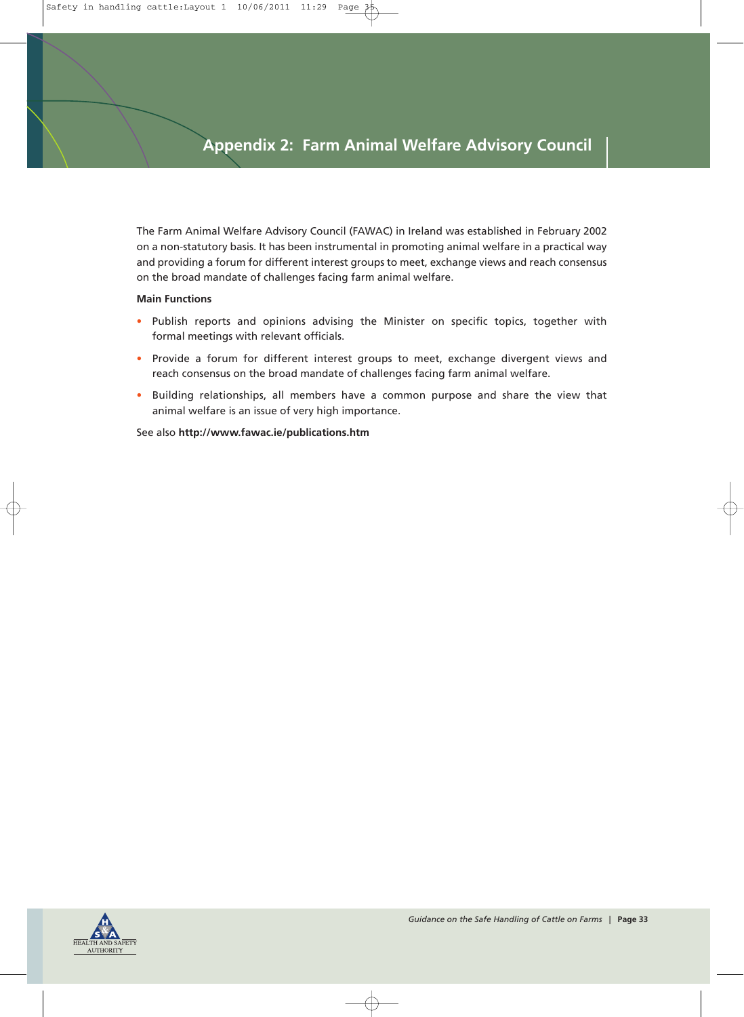The Farm Animal Welfare Advisory Council (FAWAC) in Ireland was established in February 2002 on a non-statutory basis. It has been instrumental in promoting animal welfare in a practical way and providing a forum for different interest groups to meet, exchange views and reach consensus on the broad mandate of challenges facing farm animal welfare.

## **Main Functions**

- Publish reports and opinions advising the Minister on specific topics, together with formal meetings with relevant officials.
- Provide a forum for different interest groups to meet, exchange divergent views and reach consensus on the broad mandate of challenges facing farm animal welfare.
- Building relationships, all members have a common purpose and share the view that animal welfare is an issue of very high importance.

### See also **http://www.fawac.ie/publications.htm**

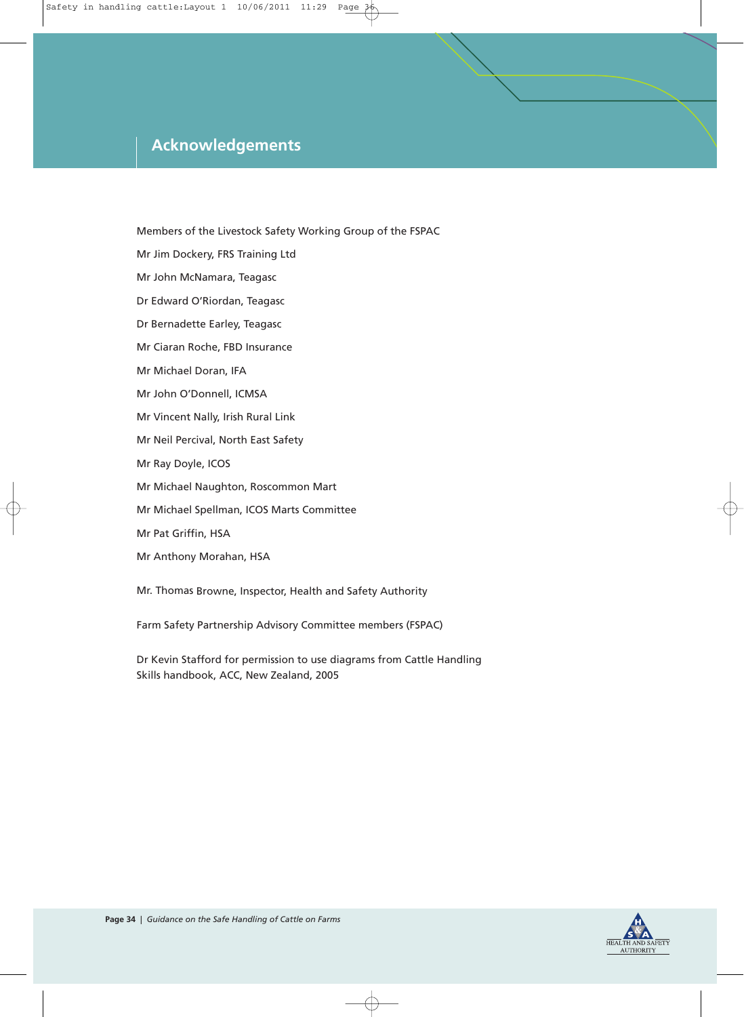# **Acknowledgements**

- Members of the Livestock Safety Working Group of the FSPAC
- Mr Jim Dockery, FRS Training Ltd
- Mr John McNamara, Teagasc
- Dr Edward O'Riordan, Teagasc
- Dr Bernadette Earley, Teagasc
- Mr Ciaran Roche, FBD Insurance
- Mr Michael Doran, IFA
- Mr John O'Donnell, ICMSA
- Mr Vincent Nally, Irish Rural Link
- Mr Neil Percival, North East Safety
- Mr Ray Doyle, ICOS
- Mr Michael Naughton, Roscommon Mart
- Mr Michael Spellman, ICOS Marts Committee
- Mr Pat Griffin, HSA
- Mr Anthony Morahan, HSA
- Mr. Thomas Browne, Inspector, Health and Safety Authority

Farm Safety Partnership Advisory Committee members (FSPAC)

Dr Kevin Stafford for permission to use diagrams from Cattle Handling Skills handbook, ACC, New Zealand, 2005

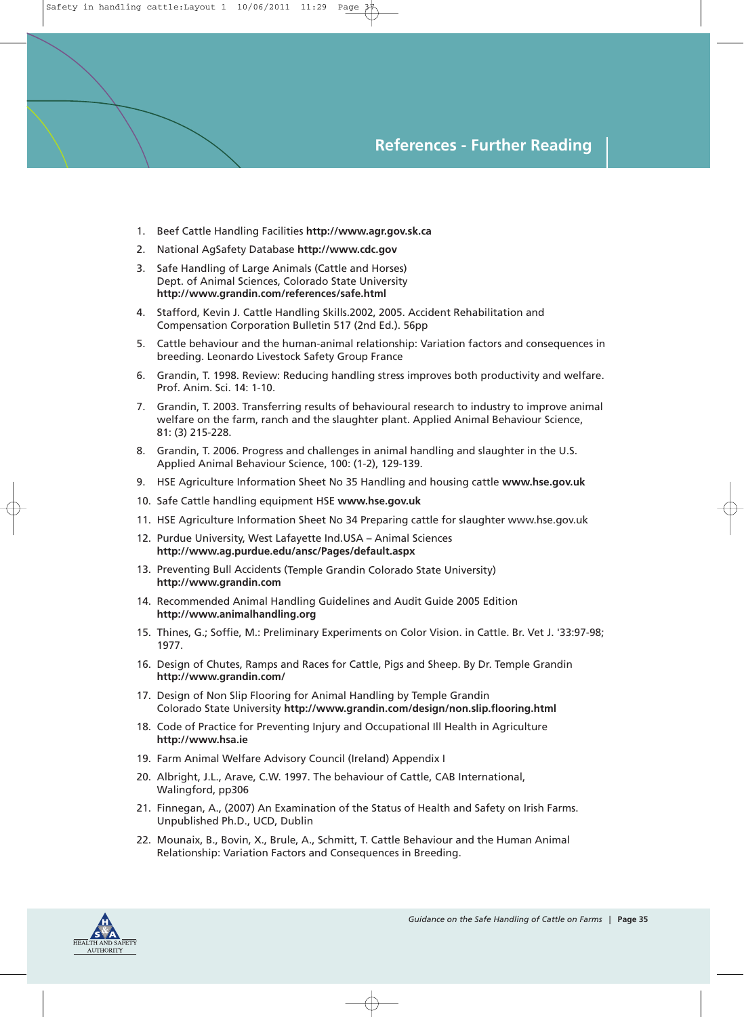- 1. Beef Cattle Handling Facilities **http://www.agr.gov.sk.ca**
- 2. National AgSafety Database **http://www.cdc.gov**
- 3. Safe Handling of Large Animals (Cattle and Horses) Dept. of Animal Sciences, Colorado State University **http://www.grandin.com/references/safe.html**
- 4. Stafford, Kevin J. Cattle Handling Skills.2002, 2005. Accident Rehabilitation and Compensation Corporation Bulletin 517 (2nd Ed.). 56pp
- 5. Cattle behaviour and the human-animal relationship: Variation factors and consequences in breeding. Leonardo Livestock Safety Group France
- 6. Grandin, T. 1998. Review: Reducing handling stress improves both productivity and welfare. Prof. Anim. Sci. 14: 1-10.
- 7. Grandin, T. 2003. Transferring results of behavioural research to industry to improve animal welfare on the farm, ranch and the slaughter plant. Applied Animal Behaviour Science, 81: (3) 215-228.
- 8. Grandin, T. 2006. Progress and challenges in animal handling and slaughter in the U.S. Applied Animal Behaviour Science, 100: (1-2), 129-139.
- 9. HSE Agriculture Information Sheet No 35 Handling and housing cattle **www.hse.gov.uk**
- 10. Safe Cattle handling equipment HSE **www.hse.gov.uk**
- 11. HSE Agriculture Information Sheet No 34 Preparing cattle for slaughter www.hse.gov.uk
- 12. Purdue University, West Lafayette Ind.USA Animal Sciences **http://www.ag.purdue.edu/ansc/Pages/default.aspx**
- 13. Preventing Bull Accidents (Temple Grandin Colorado State University) **http://www.grandin.com**
- 14. Recommended Animal Handling Guidelines and Audit Guide 2005 Edition **http://www.animalhandling.org**
- 15. Thines, G.; Soffie, M.: Preliminary Experiments on Color Vision. in Cattle. Br. Vet J. '33:97-98; 1977.
- 16. Design of Chutes, Ramps and Races for Cattle, Pigs and Sheep. By Dr. Temple Grandin **http://www.grandin.com/**
- 17. Design of Non Slip Flooring for Animal Handling by Temple Grandin Colorado State University **http://www.grandin.com/design/non.slip.flooring.html**
- 18. Code of Practice for Preventing Injury and Occupational Ill Health in Agriculture **http://www.hsa.ie**
- 19. Farm Animal Welfare Advisory Council (Ireland) Appendix I
- 20. Albright, J.L., Arave, C.W. 1997. The behaviour of Cattle, CAB International, Walingford, pp306
- 21. Finnegan, A., (2007) An Examination of the Status of Health and Safety on Irish Farms. Unpublished Ph.D., UCD, Dublin
- 22. Mounaix, B., Bovin, X., Brule, A., Schmitt, T. Cattle Behaviour and the Human Animal Relationship: Variation Factors and Consequences in Breeding.

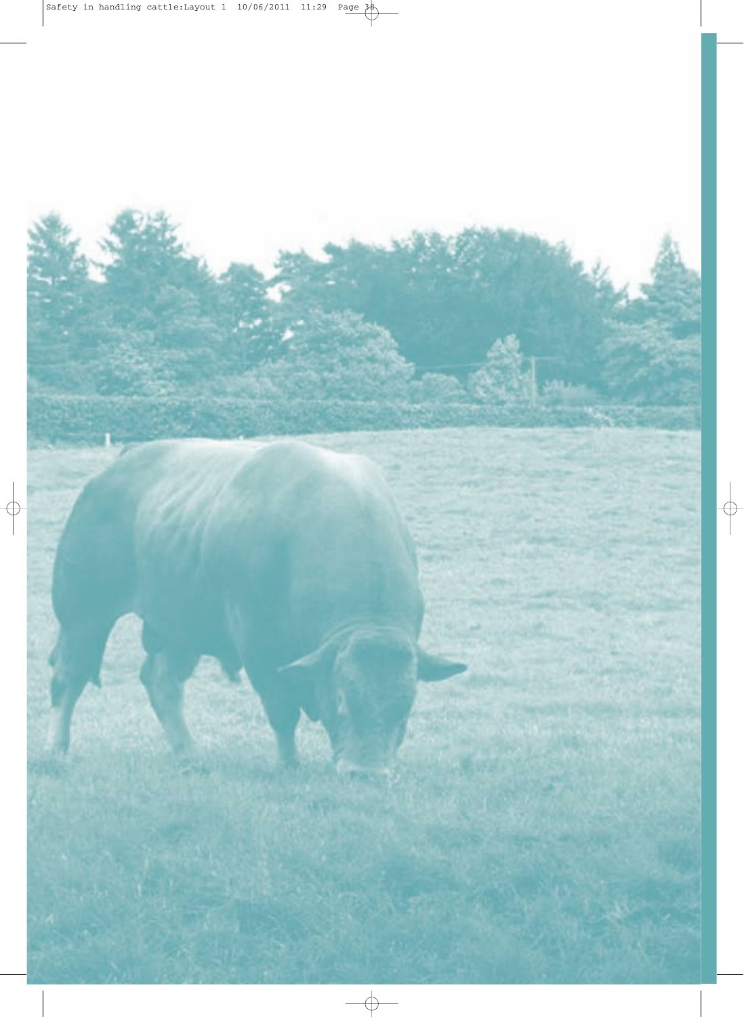